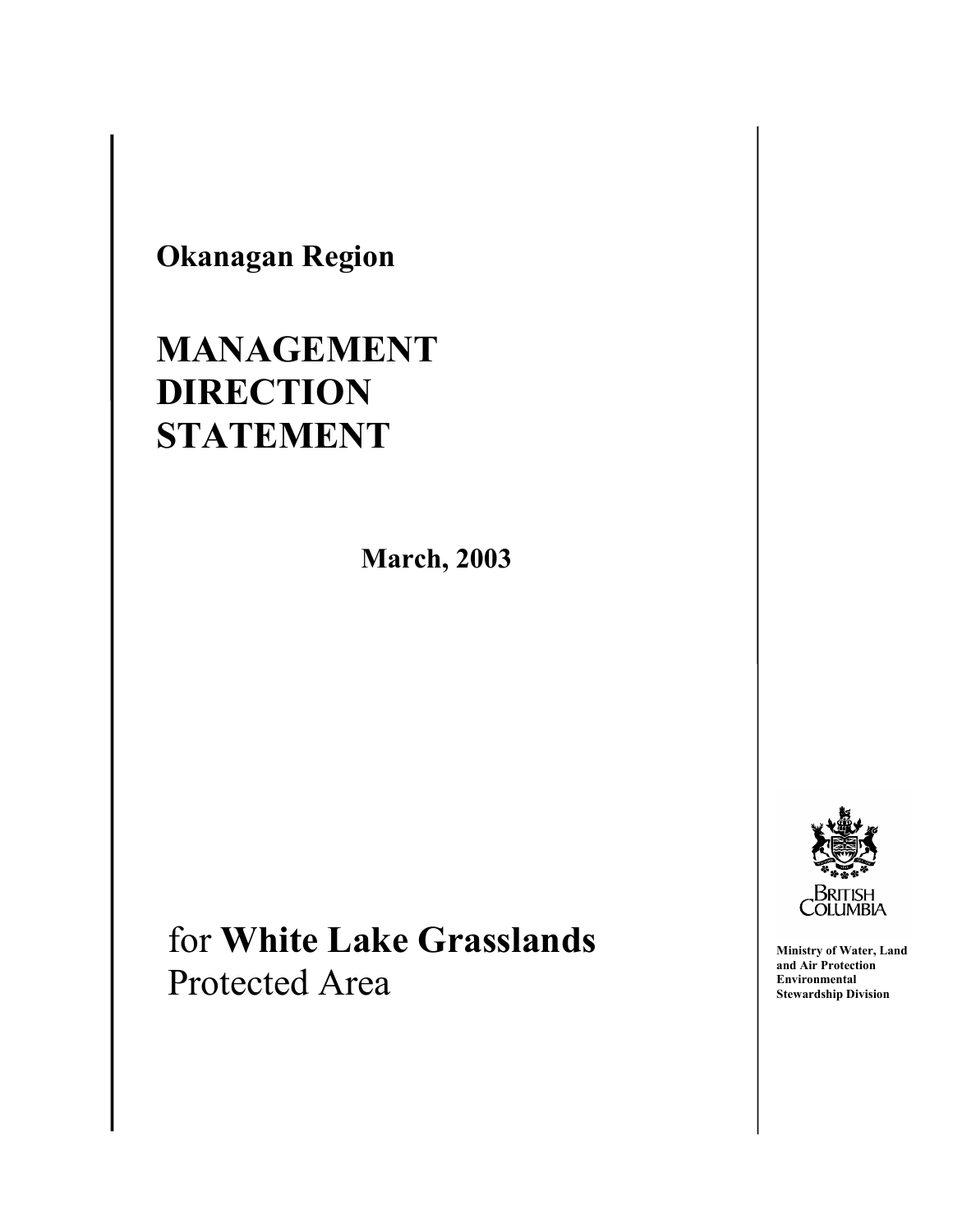**Okanagan Region** 

 $\overline{\phantom{a}}$ 

I

# **MANAGEMENT DIRECTION STATEMENT**

**March, 2003** 

# for **White Lake Grasslands** Protected Area



**Ministry of Water, Land and Air Protection Environmental Stewardship Division**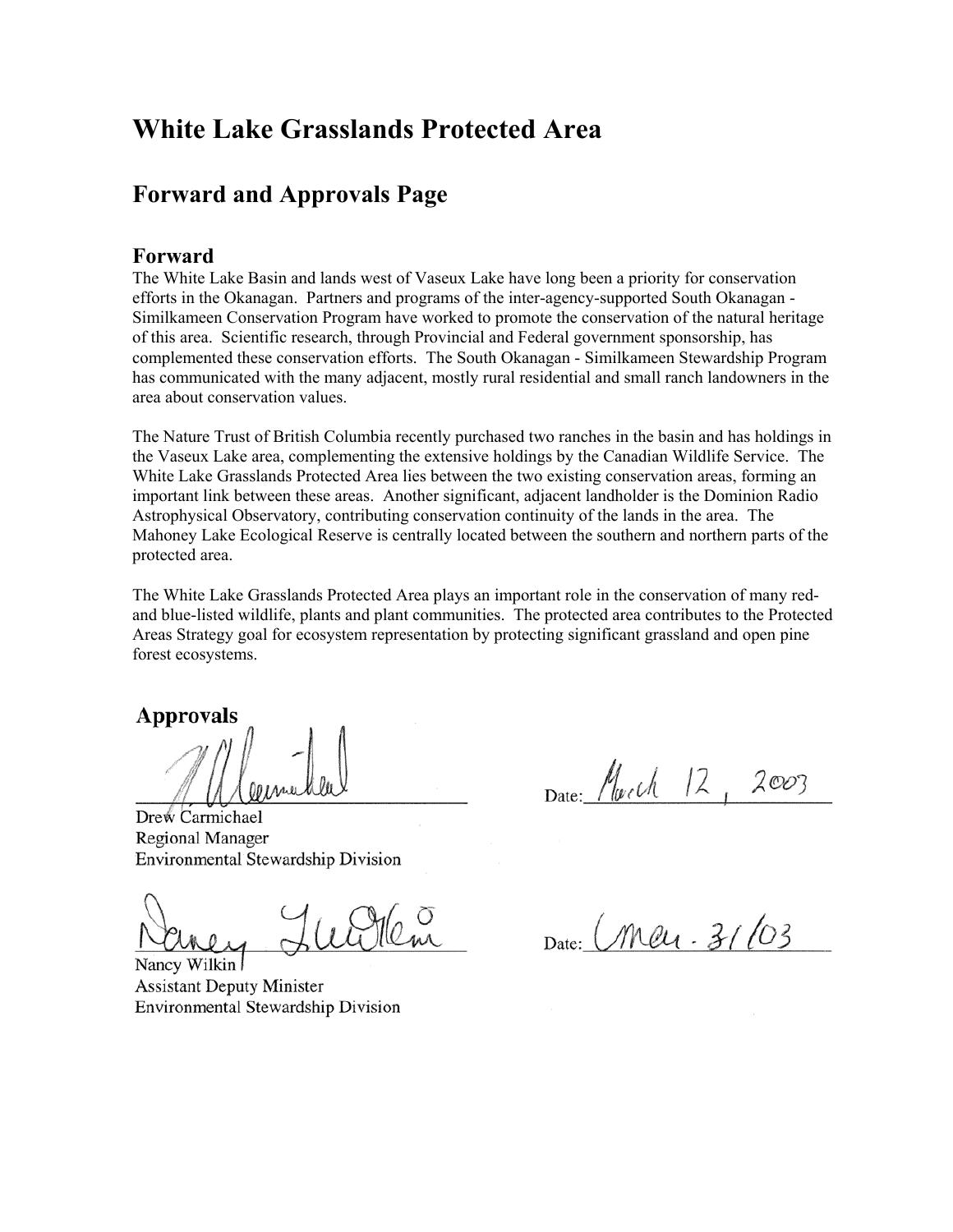# **White Lake Grasslands Protected Area**

## **Forward and Approvals Page**

#### **Forward**

The White Lake Basin and lands west of Vaseux Lake have long been a priority for conservation efforts in the Okanagan. Partners and programs of the inter-agency-supported South Okanagan - Similkameen Conservation Program have worked to promote the conservation of the natural heritage of this area. Scientific research, through Provincial and Federal government sponsorship, has complemented these conservation efforts. The South Okanagan - Similkameen Stewardship Program has communicated with the many adjacent, mostly rural residential and small ranch landowners in the area about conservation values.

The Nature Trust of British Columbia recently purchased two ranches in the basin and has holdings in the Vaseux Lake area, complementing the extensive holdings by the Canadian Wildlife Service. The White Lake Grasslands Protected Area lies between the two existing conservation areas, forming an important link between these areas. Another significant, adjacent landholder is the Dominion Radio Astrophysical Observatory, contributing conservation continuity of the lands in the area. The Mahoney Lake Ecological Reserve is centrally located between the southern and northern parts of the protected area.

The White Lake Grasslands Protected Area plays an important role in the conservation of many redand blue-listed wildlife, plants and plant communities. The protected area contributes to the Protected Areas Strategy goal for ecosystem representation by protecting significant grassland and open pine forest ecosystems.

#### **Approvals**

Drew Carmichael Regional Manager Environmental Stewardship Division

Nancy Wilkin **Assistant Deputy Minister** Environmental Stewardship Division

Date: March 12,  $2003$ 

Date: Meu. 31/03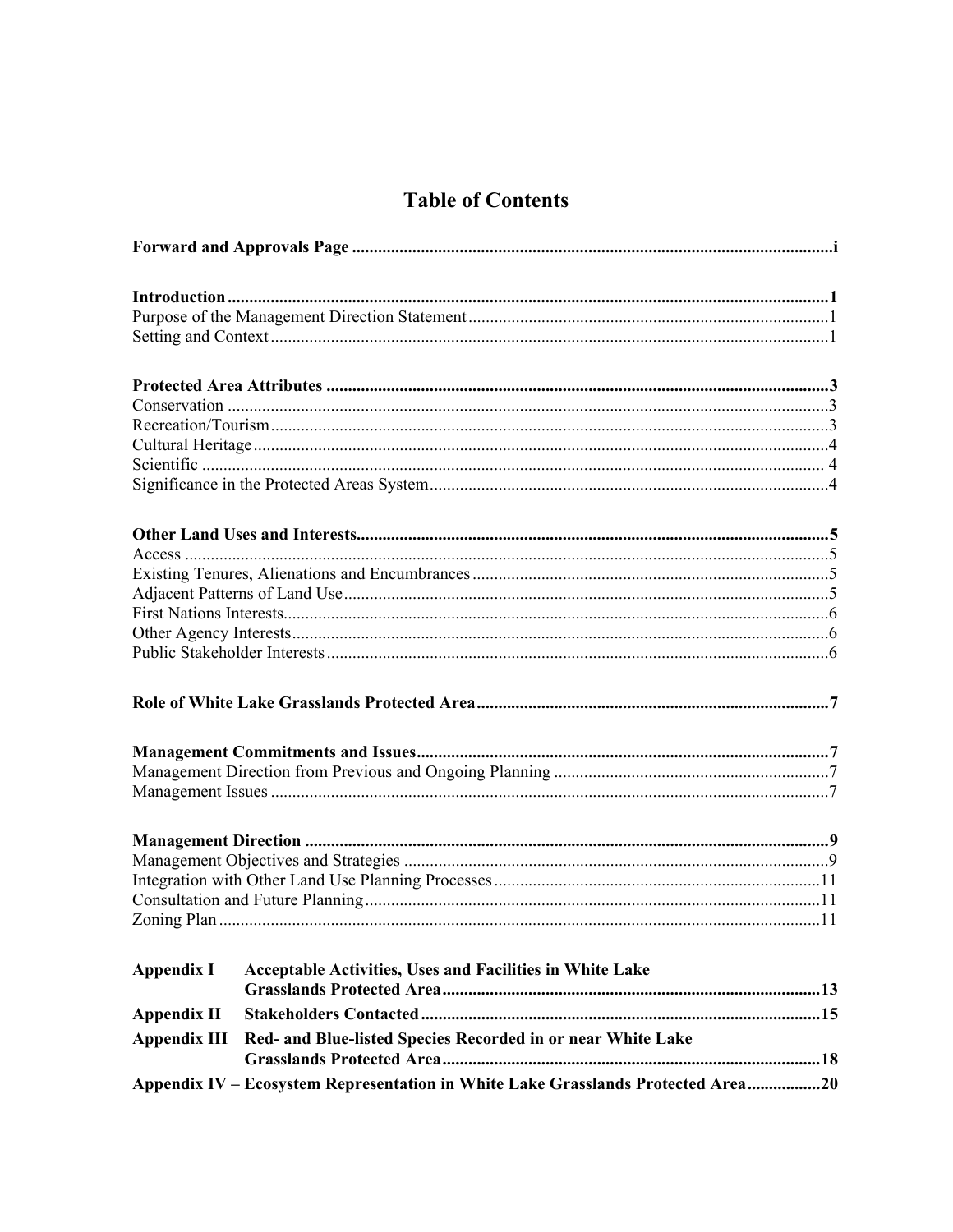### **Table of Contents**

| <b>Appendix I</b>   | Acceptable Activities, Uses and Facilities in White Lake                         |  |  |  |  |
|---------------------|----------------------------------------------------------------------------------|--|--|--|--|
|                     |                                                                                  |  |  |  |  |
| <b>Appendix II</b>  |                                                                                  |  |  |  |  |
| <b>Appendix III</b> | Red- and Blue-listed Species Recorded in or near White Lake                      |  |  |  |  |
|                     | Appendix IV - Ecosystem Representation in White Lake Grasslands Protected Area20 |  |  |  |  |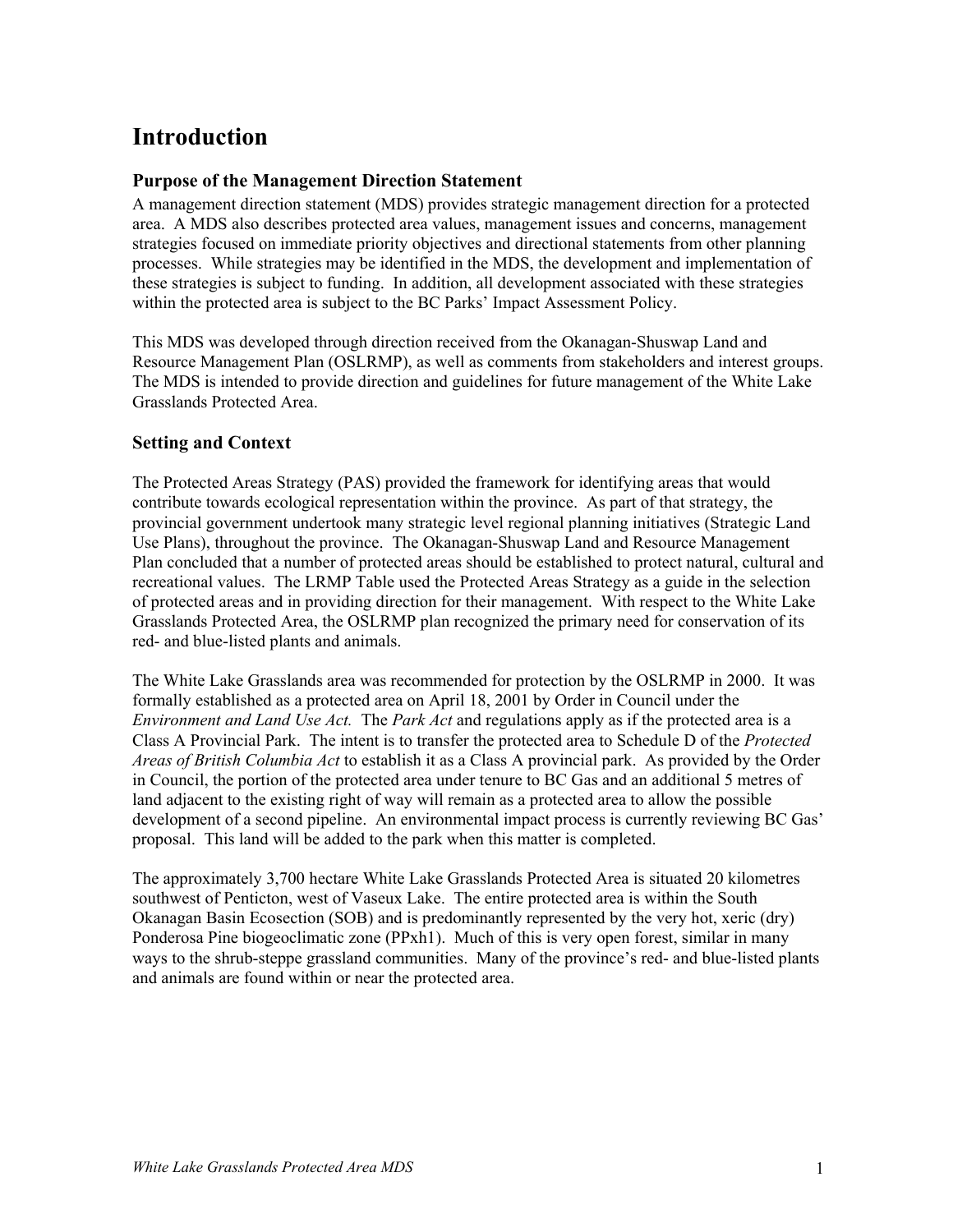# **Introduction**

#### **Purpose of the Management Direction Statement**

A management direction statement (MDS) provides strategic management direction for a protected area. A MDS also describes protected area values, management issues and concerns, management strategies focused on immediate priority objectives and directional statements from other planning processes. While strategies may be identified in the MDS, the development and implementation of these strategies is subject to funding. In addition, all development associated with these strategies within the protected area is subject to the BC Parks' Impact Assessment Policy.

This MDS was developed through direction received from the Okanagan-Shuswap Land and Resource Management Plan (OSLRMP), as well as comments from stakeholders and interest groups. The MDS is intended to provide direction and guidelines for future management of the White Lake Grasslands Protected Area.

#### **Setting and Context**

The Protected Areas Strategy (PAS) provided the framework for identifying areas that would contribute towards ecological representation within the province. As part of that strategy, the provincial government undertook many strategic level regional planning initiatives (Strategic Land Use Plans), throughout the province. The Okanagan-Shuswap Land and Resource Management Plan concluded that a number of protected areas should be established to protect natural, cultural and recreational values. The LRMP Table used the Protected Areas Strategy as a guide in the selection of protected areas and in providing direction for their management. With respect to the White Lake Grasslands Protected Area, the OSLRMP plan recognized the primary need for conservation of its red- and blue-listed plants and animals.

The White Lake Grasslands area was recommended for protection by the OSLRMP in 2000. It was formally established as a protected area on April 18, 2001 by Order in Council under the *Environment and Land Use Act.* The *Park Act* and regulations apply as if the protected area is a Class A Provincial Park. The intent is to transfer the protected area to Schedule D of the *Protected Areas of British Columbia Act* to establish it as a Class A provincial park. As provided by the Order in Council, the portion of the protected area under tenure to BC Gas and an additional 5 metres of land adjacent to the existing right of way will remain as a protected area to allow the possible development of a second pipeline. An environmental impact process is currently reviewing BC Gas' proposal. This land will be added to the park when this matter is completed.

The approximately 3,700 hectare White Lake Grasslands Protected Area is situated 20 kilometres southwest of Penticton, west of Vaseux Lake. The entire protected area is within the South Okanagan Basin Ecosection (SOB) and is predominantly represented by the very hot, xeric (dry) Ponderosa Pine biogeoclimatic zone (PPxh1). Much of this is very open forest, similar in many ways to the shrub-steppe grassland communities. Many of the province's red- and blue-listed plants and animals are found within or near the protected area.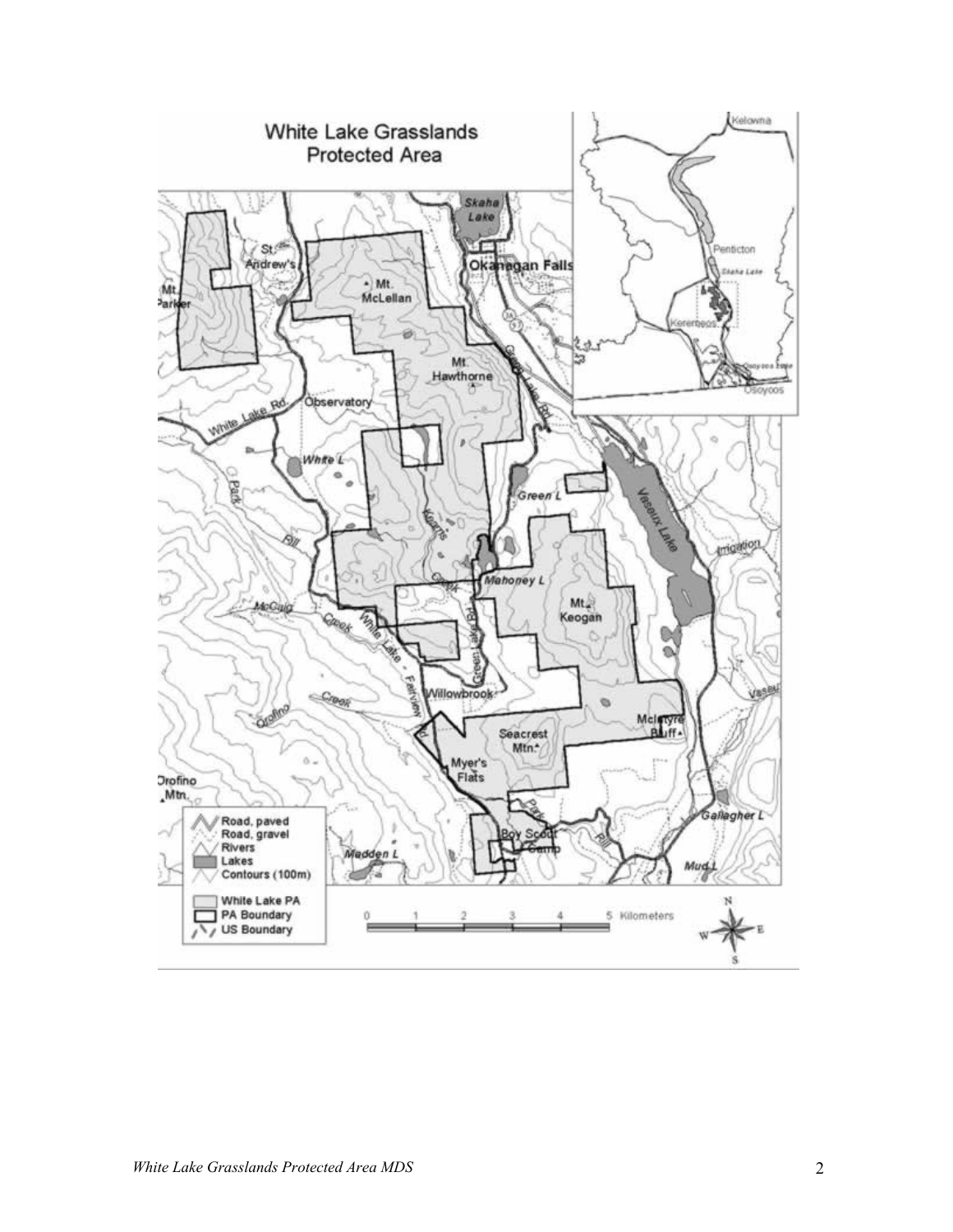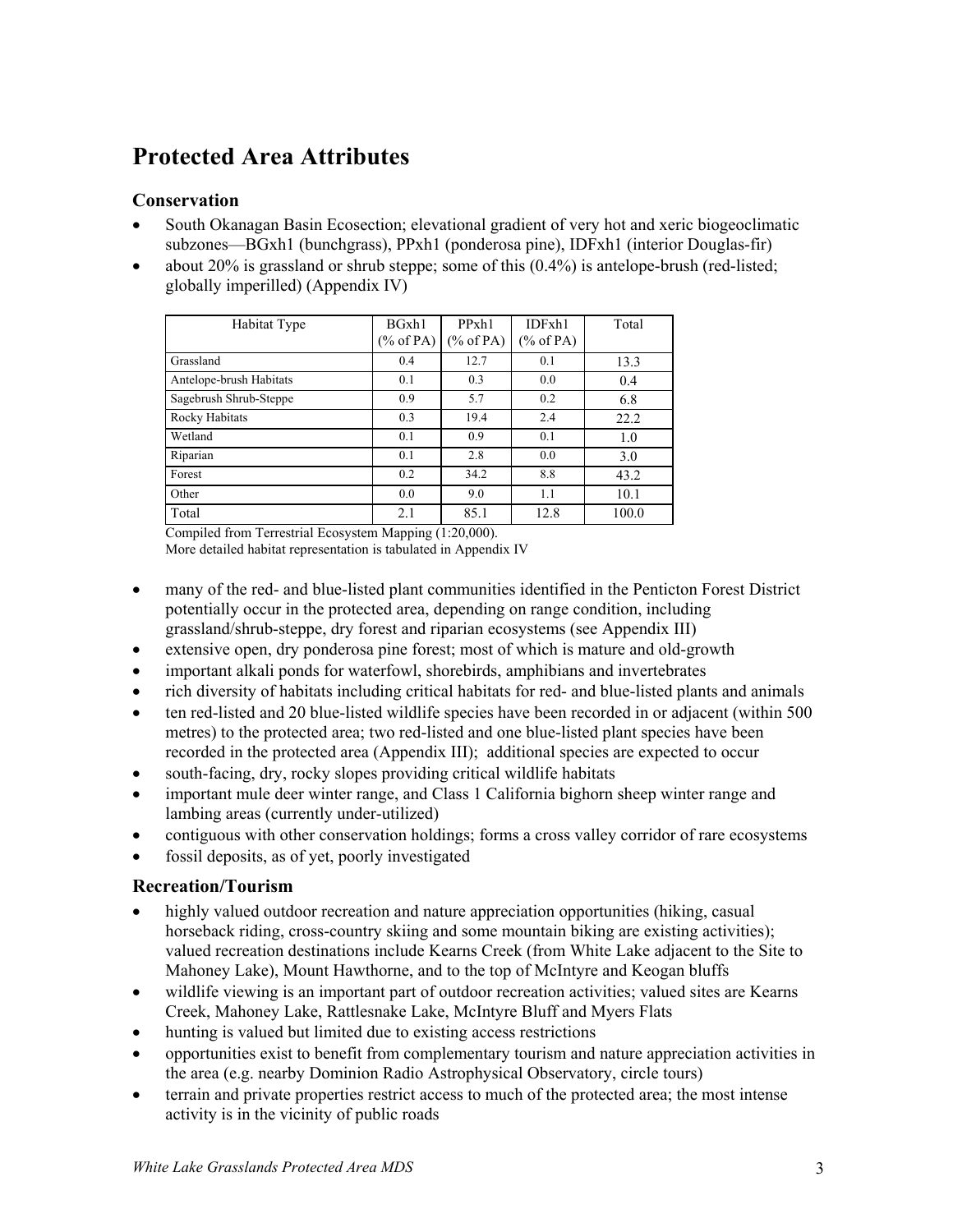# **Protected Area Attributes**

#### **Conservation**

- South Okanagan Basin Ecosection; elevational gradient of very hot and xeric biogeoclimatic subzones—BGxh1 (bunchgrass), PPxh1 (ponderosa pine), IDFxh1 (interior Douglas-fir)
- about 20% is grassland or shrub steppe; some of this (0.4%) is antelope-brush (red-listed; globally imperilled) (Appendix IV)

| Habitat Type            | BGxh1<br>$(\%$ of PA) | PPxh1<br>$(\%$ of PA) | IDFxh1<br>$(\%$ of PA) | Total |
|-------------------------|-----------------------|-----------------------|------------------------|-------|
| Grassland               | 0.4                   | 12.7                  | 0.1                    | 13.3  |
| Antelope-brush Habitats | 0.1                   | 0.3                   | 0.0                    | 0.4   |
| Sagebrush Shrub-Steppe  | 0.9                   | 5.7                   | 0.2                    | 6.8   |
| Rocky Habitats          | 0.3                   | 19.4                  | 2.4                    | 22.2  |
| Wetland                 | 0.1                   | 0.9                   | 0.1                    | 1.0   |
| Riparian                | 0.1                   | 2.8                   | 0.0                    | 3.0   |
| Forest                  | 0.2                   | 34.2                  | 8.8                    | 43.2  |
| Other                   | 0.0                   | 9.0                   | 1.1                    | 10.1  |
| Total                   | 2.1                   | 85.1                  | 12.8                   | 100.0 |

Compiled from Terrestrial Ecosystem Mapping (1:20,000).

More detailed habitat representation is tabulated in Appendix IV

- many of the red- and blue-listed plant communities identified in the Penticton Forest District potentially occur in the protected area, depending on range condition, including grassland/shrub-steppe, dry forest and riparian ecosystems (see Appendix III)
- extensive open, dry ponderosa pine forest; most of which is mature and old-growth
- important alkali ponds for waterfowl, shorebirds, amphibians and invertebrates
- rich diversity of habitats including critical habitats for red- and blue-listed plants and animals
- ten red-listed and 20 blue-listed wildlife species have been recorded in or adjacent (within 500 metres) to the protected area; two red-listed and one blue-listed plant species have been recorded in the protected area (Appendix III); additional species are expected to occur
- south-facing, dry, rocky slopes providing critical wildlife habitats
- important mule deer winter range, and Class 1 California bighorn sheep winter range and lambing areas (currently under-utilized)
- contiguous with other conservation holdings; forms a cross valley corridor of rare ecosystems
- fossil deposits, as of yet, poorly investigated

#### **Recreation/Tourism**

- highly valued outdoor recreation and nature appreciation opportunities (hiking, casual horseback riding, cross-country skiing and some mountain biking are existing activities); valued recreation destinations include Kearns Creek (from White Lake adjacent to the Site to Mahoney Lake), Mount Hawthorne, and to the top of McIntyre and Keogan bluffs
- wildlife viewing is an important part of outdoor recreation activities; valued sites are Kearns Creek, Mahoney Lake, Rattlesnake Lake, McIntyre Bluff and Myers Flats
- hunting is valued but limited due to existing access restrictions
- opportunities exist to benefit from complementary tourism and nature appreciation activities in the area (e.g. nearby Dominion Radio Astrophysical Observatory, circle tours)
- terrain and private properties restrict access to much of the protected area; the most intense activity is in the vicinity of public roads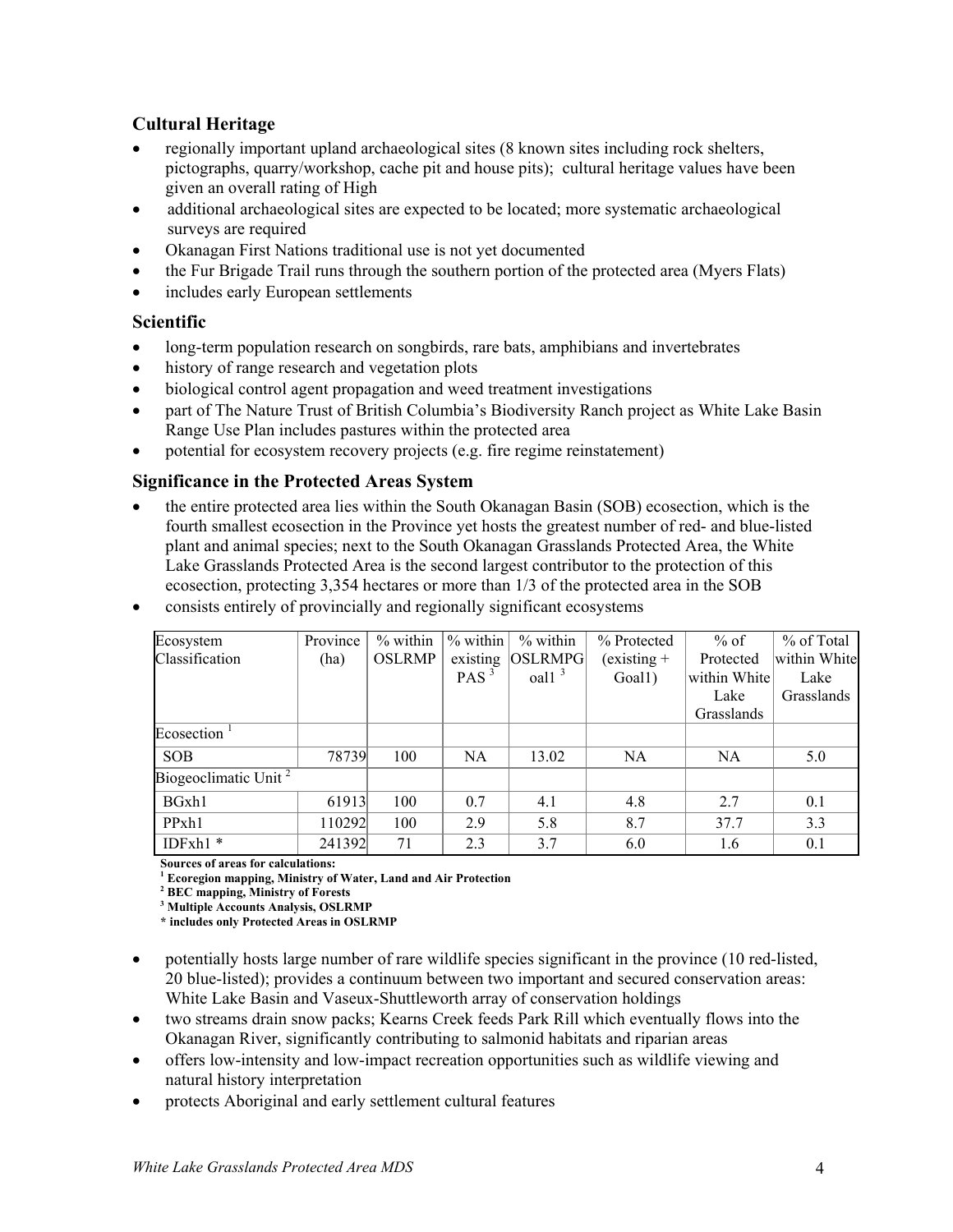#### **Cultural Heritage**

- regionally important upland archaeological sites (8 known sites including rock shelters, pictographs, quarry/workshop, cache pit and house pits); cultural heritage values have been given an overall rating of High
- additional archaeological sites are expected to be located; more systematic archaeological surveys are required
- Okanagan First Nations traditional use is not yet documented
- the Fur Brigade Trail runs through the southern portion of the protected area (Myers Flats)
- includes early European settlements

#### **Scientific**

- long-term population research on songbirds, rare bats, amphibians and invertebrates
- history of range research and vegetation plots
- biological control agent propagation and weed treatment investigations
- part of The Nature Trust of British Columbia's Biodiversity Ranch project as White Lake Basin Range Use Plan includes pastures within the protected area
- potential for ecosystem recovery projects (e.g. fire regime reinstatement)

#### **Significance in the Protected Areas System**

- the entire protected area lies within the South Okanagan Basin (SOB) ecosection, which is the fourth smallest ecosection in the Province yet hosts the greatest number of red- and blue-listed plant and animal species; next to the South Okanagan Grasslands Protected Area, the White Lake Grasslands Protected Area is the second largest contributor to the protection of this ecosection, protecting 3,354 hectares or more than 1/3 of the protected area in the SOB
- consists entirely of provincially and regionally significant ecosystems

| Ecosystem               | Province | $%$ within    | $%$ within       | $%$ within            | % Protected   | $%$ of       | % of Total   |
|-------------------------|----------|---------------|------------------|-----------------------|---------------|--------------|--------------|
| Classification          | (ha)     | <b>OSLRMP</b> | existing         | OSLRMPG               | $(existing +$ | Protected    | within White |
|                         |          |               | PAS <sup>3</sup> | $\alpha$ <sup>3</sup> | Goal1)        | within White | Lake         |
|                         |          |               |                  |                       |               | Lake         | Grasslands   |
|                         |          |               |                  |                       |               | Grasslands   |              |
| Ecosection              |          |               |                  |                       |               |              |              |
| <b>SOB</b>              | 78739    | 100           | <b>NA</b>        | 13.02                 | NA            | NA           | 5.0          |
| Biogeoclimatic Unit $2$ |          |               |                  |                       |               |              |              |
| BGxh1                   | 61913    | 100           | 0.7              | 4.1                   | 4.8           | 2.7          | 0.1          |
| PPxh1                   | 110292   | 100           | 2.9              | 5.8                   | 8.7           | 37.7         | 3.3          |
| $IDFxh1*$               | 241392   | 71            | 2.3              | 3.7                   | 6.0           | 1.6          | 0.1          |

**Sources of areas for calculations: 1**

 **Ecoregion mapping, Ministry of Water, Land and Air Protection 2**

 **BEC mapping, Ministry of Forests** 

**3 Multiple Accounts Analysis, OSLRMP** 

**\* includes only Protected Areas in OSLRMP** 

- potentially hosts large number of rare wildlife species significant in the province (10 red-listed, 20 blue-listed); provides a continuum between two important and secured conservation areas: White Lake Basin and Vaseux-Shuttleworth array of conservation holdings
- two streams drain snow packs; Kearns Creek feeds Park Rill which eventually flows into the Okanagan River, significantly contributing to salmonid habitats and riparian areas
- offers low-intensity and low-impact recreation opportunities such as wildlife viewing and natural history interpretation
- protects Aboriginal and early settlement cultural features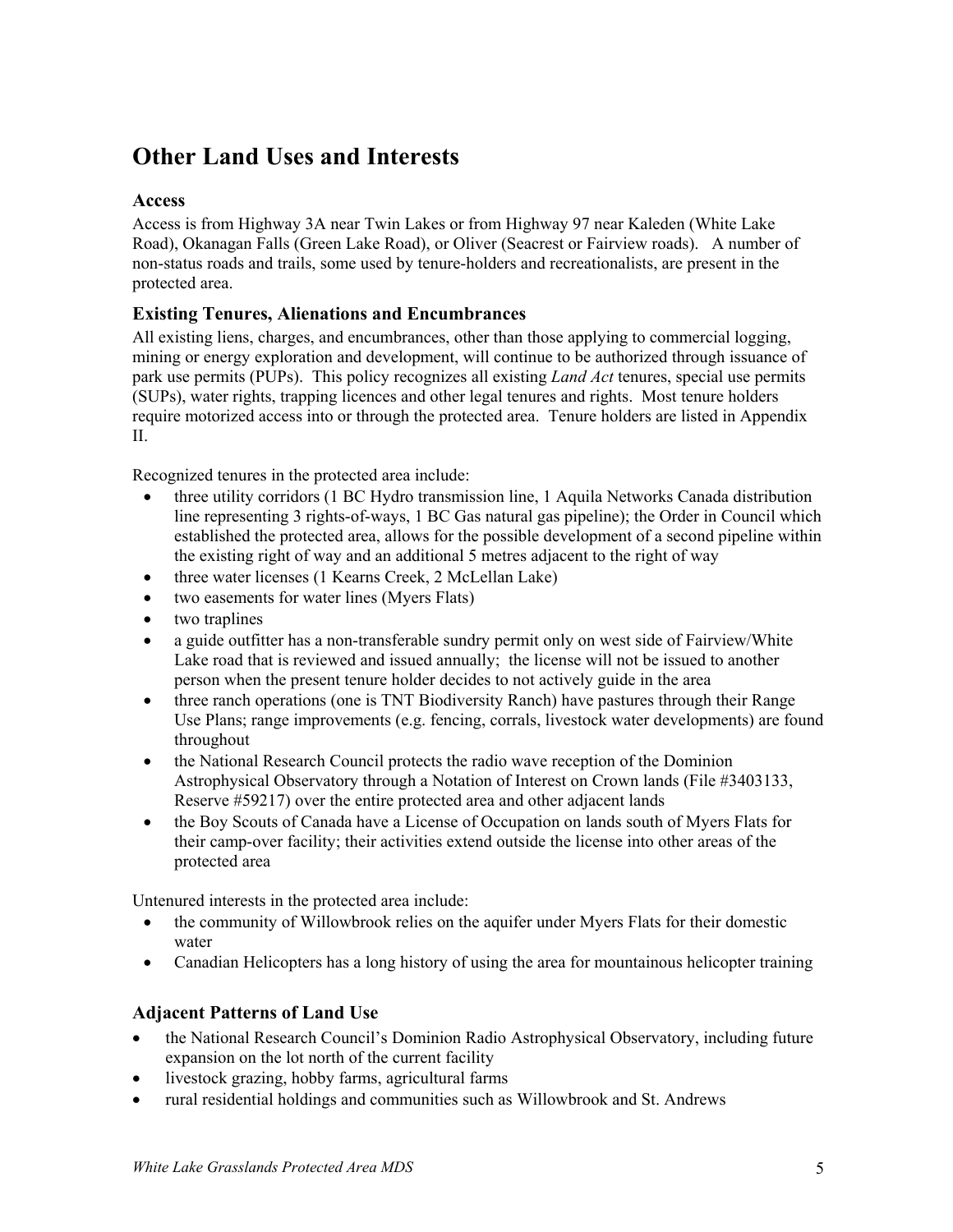# **Other Land Uses and Interests**

#### **Access**

Access is from Highway 3A near Twin Lakes or from Highway 97 near Kaleden (White Lake Road), Okanagan Falls (Green Lake Road), or Oliver (Seacrest or Fairview roads). A number of non-status roads and trails, some used by tenure-holders and recreationalists, are present in the protected area.

#### **Existing Tenures, Alienations and Encumbrances**

All existing liens, charges, and encumbrances, other than those applying to commercial logging, mining or energy exploration and development, will continue to be authorized through issuance of park use permits (PUPs). This policy recognizes all existing *Land Act* tenures, special use permits (SUPs), water rights, trapping licences and other legal tenures and rights. Most tenure holders require motorized access into or through the protected area. Tenure holders are listed in Appendix II.

Recognized tenures in the protected area include:

- three utility corridors (1 BC Hydro transmission line, 1 Aquila Networks Canada distribution line representing 3 rights-of-ways, 1 BC Gas natural gas pipeline); the Order in Council which established the protected area, allows for the possible development of a second pipeline within the existing right of way and an additional 5 metres adjacent to the right of way
- three water licenses (1 Kearns Creek, 2 McLellan Lake)
- two easements for water lines (Myers Flats)
- two traplines
- a guide outfitter has a non-transferable sundry permit only on west side of Fairview/White Lake road that is reviewed and issued annually; the license will not be issued to another person when the present tenure holder decides to not actively guide in the area
- three ranch operations (one is TNT Biodiversity Ranch) have pastures through their Range Use Plans; range improvements (e.g. fencing, corrals, livestock water developments) are found throughout
- the National Research Council protects the radio wave reception of the Dominion Astrophysical Observatory through a Notation of Interest on Crown lands (File #3403133, Reserve #59217) over the entire protected area and other adjacent lands
- the Boy Scouts of Canada have a License of Occupation on lands south of Myers Flats for their camp-over facility; their activities extend outside the license into other areas of the protected area

Untenured interests in the protected area include:

- the community of Willowbrook relies on the aquifer under Myers Flats for their domestic water
- Canadian Helicopters has a long history of using the area for mountainous helicopter training

#### **Adjacent Patterns of Land Use**

- the National Research Council's Dominion Radio Astrophysical Observatory, including future expansion on the lot north of the current facility
- livestock grazing, hobby farms, agricultural farms
- rural residential holdings and communities such as Willowbrook and St. Andrews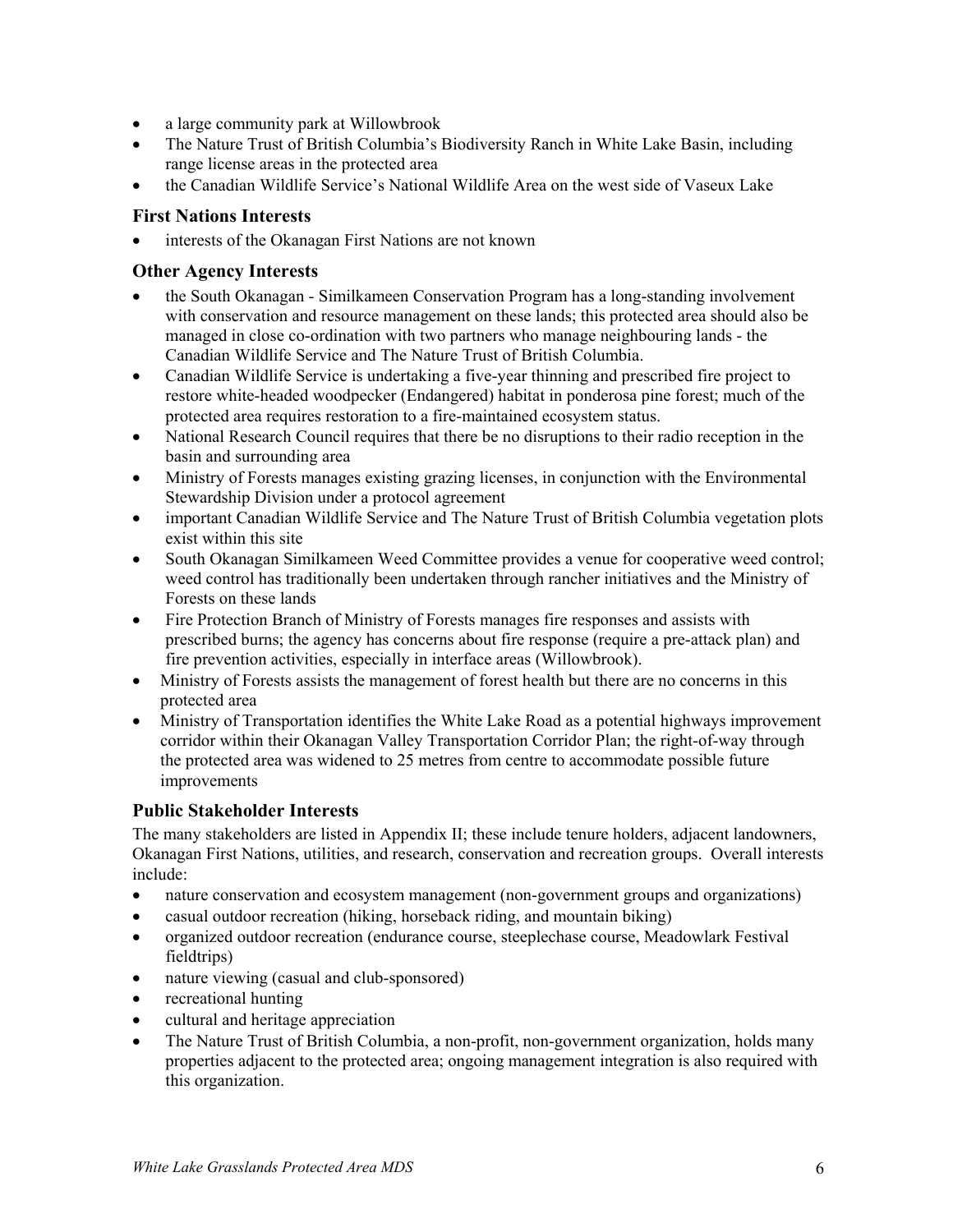- a large community park at Willowbrook
- The Nature Trust of British Columbia's Biodiversity Ranch in White Lake Basin, including range license areas in the protected area
- the Canadian Wildlife Service's National Wildlife Area on the west side of Vaseux Lake

#### **First Nations Interests**

interests of the Okanagan First Nations are not known

#### **Other Agency Interests**

- the South Okanagan Similkameen Conservation Program has a long-standing involvement with conservation and resource management on these lands; this protected area should also be managed in close co-ordination with two partners who manage neighbouring lands - the Canadian Wildlife Service and The Nature Trust of British Columbia.
- Canadian Wildlife Service is undertaking a five-year thinning and prescribed fire project to restore white-headed woodpecker (Endangered) habitat in ponderosa pine forest; much of the protected area requires restoration to a fire-maintained ecosystem status.
- National Research Council requires that there be no disruptions to their radio reception in the basin and surrounding area
- Ministry of Forests manages existing grazing licenses, in conjunction with the Environmental Stewardship Division under a protocol agreement
- important Canadian Wildlife Service and The Nature Trust of British Columbia vegetation plots exist within this site
- South Okanagan Similkameen Weed Committee provides a venue for cooperative weed control; weed control has traditionally been undertaken through rancher initiatives and the Ministry of Forests on these lands
- Fire Protection Branch of Ministry of Forests manages fire responses and assists with prescribed burns; the agency has concerns about fire response (require a pre-attack plan) and fire prevention activities, especially in interface areas (Willowbrook).
- Ministry of Forests assists the management of forest health but there are no concerns in this protected area
- Ministry of Transportation identifies the White Lake Road as a potential highways improvement corridor within their Okanagan Valley Transportation Corridor Plan; the right-of-way through the protected area was widened to 25 metres from centre to accommodate possible future improvements

#### **Public Stakeholder Interests**

The many stakeholders are listed in Appendix II; these include tenure holders, adjacent landowners, Okanagan First Nations, utilities, and research, conservation and recreation groups. Overall interests include:

- nature conservation and ecosystem management (non-government groups and organizations)
- casual outdoor recreation (hiking, horseback riding, and mountain biking)
- organized outdoor recreation (endurance course, steeplechase course, Meadowlark Festival fieldtrips)
- nature viewing (casual and club-sponsored)
- recreational hunting
- cultural and heritage appreciation
- The Nature Trust of British Columbia, a non-profit, non-government organization, holds many properties adjacent to the protected area; ongoing management integration is also required with this organization.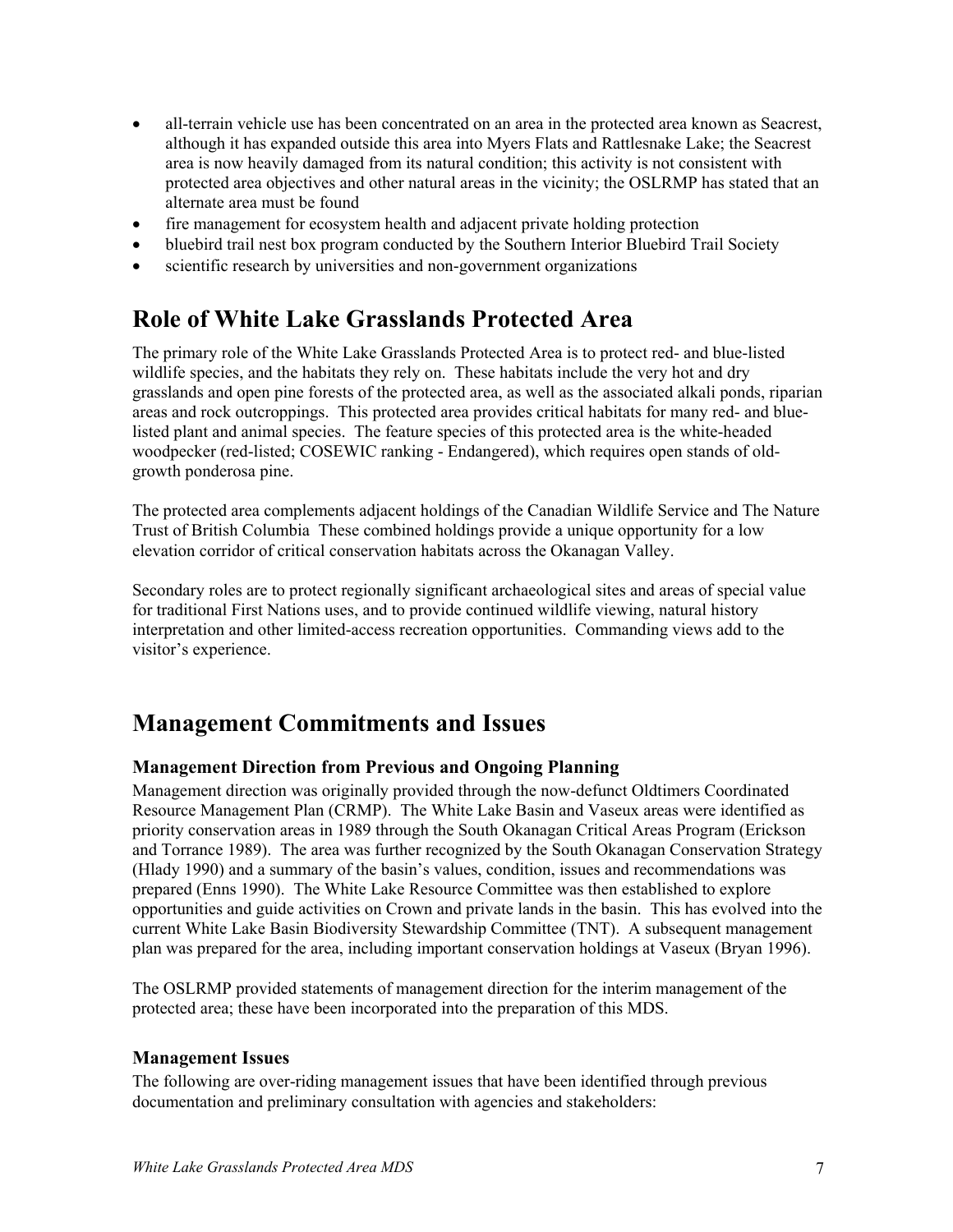- all-terrain vehicle use has been concentrated on an area in the protected area known as Seacrest, although it has expanded outside this area into Myers Flats and Rattlesnake Lake; the Seacrest area is now heavily damaged from its natural condition; this activity is not consistent with protected area objectives and other natural areas in the vicinity; the OSLRMP has stated that an alternate area must be found
- fire management for ecosystem health and adjacent private holding protection
- bluebird trail nest box program conducted by the Southern Interior Bluebird Trail Society
- scientific research by universities and non-government organizations

## **Role of White Lake Grasslands Protected Area**

The primary role of the White Lake Grasslands Protected Area is to protect red- and blue-listed wildlife species, and the habitats they rely on. These habitats include the very hot and dry grasslands and open pine forests of the protected area, as well as the associated alkali ponds, riparian areas and rock outcroppings. This protected area provides critical habitats for many red- and bluelisted plant and animal species. The feature species of this protected area is the white-headed woodpecker (red-listed; COSEWIC ranking - Endangered), which requires open stands of oldgrowth ponderosa pine.

The protected area complements adjacent holdings of the Canadian Wildlife Service and The Nature Trust of British Columbia These combined holdings provide a unique opportunity for a low elevation corridor of critical conservation habitats across the Okanagan Valley.

Secondary roles are to protect regionally significant archaeological sites and areas of special value for traditional First Nations uses, and to provide continued wildlife viewing, natural history interpretation and other limited-access recreation opportunities. Commanding views add to the visitor's experience.

### **Management Commitments and Issues**

#### **Management Direction from Previous and Ongoing Planning**

Management direction was originally provided through the now-defunct Oldtimers Coordinated Resource Management Plan (CRMP). The White Lake Basin and Vaseux areas were identified as priority conservation areas in 1989 through the South Okanagan Critical Areas Program (Erickson and Torrance 1989). The area was further recognized by the South Okanagan Conservation Strategy (Hlady 1990) and a summary of the basin's values, condition, issues and recommendations was prepared (Enns 1990). The White Lake Resource Committee was then established to explore opportunities and guide activities on Crown and private lands in the basin. This has evolved into the current White Lake Basin Biodiversity Stewardship Committee (TNT). A subsequent management plan was prepared for the area, including important conservation holdings at Vaseux (Bryan 1996).

The OSLRMP provided statements of management direction for the interim management of the protected area; these have been incorporated into the preparation of this MDS.

#### **Management Issues**

The following are over-riding management issues that have been identified through previous documentation and preliminary consultation with agencies and stakeholders: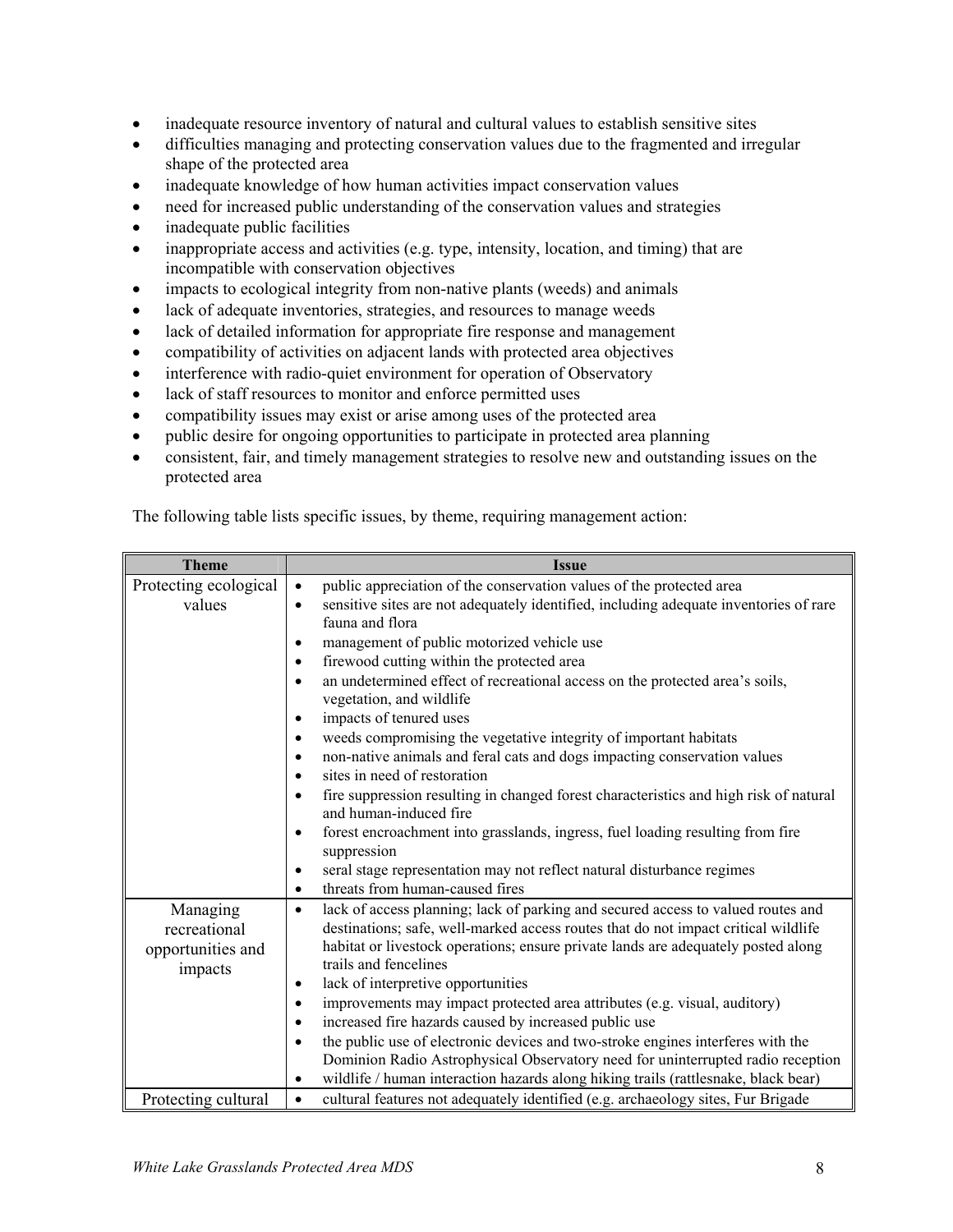- inadequate resource inventory of natural and cultural values to establish sensitive sites
- difficulties managing and protecting conservation values due to the fragmented and irregular shape of the protected area
- inadequate knowledge of how human activities impact conservation values
- need for increased public understanding of the conservation values and strategies
- inadequate public facilities
- inappropriate access and activities (e.g. type, intensity, location, and timing) that are incompatible with conservation objectives
- impacts to ecological integrity from non-native plants (weeds) and animals
- lack of adequate inventories, strategies, and resources to manage weeds
- lack of detailed information for appropriate fire response and management
- compatibility of activities on adjacent lands with protected area objectives
- interference with radio-quiet environment for operation of Observatory
- lack of staff resources to monitor and enforce permitted uses
- compatibility issues may exist or arise among uses of the protected area
- public desire for ongoing opportunities to participate in protected area planning
- consistent, fair, and timely management strategies to resolve new and outstanding issues on the protected area

| <b>Theme</b>                 | <b>Issue</b>                                                                                                                 |
|------------------------------|------------------------------------------------------------------------------------------------------------------------------|
| Protecting ecological        | public appreciation of the conservation values of the protected area<br>$\bullet$                                            |
| values                       | sensitive sites are not adequately identified, including adequate inventories of rare<br>$\bullet$                           |
|                              | fauna and flora                                                                                                              |
|                              | management of public motorized vehicle use                                                                                   |
|                              | firewood cutting within the protected area<br>$\bullet$                                                                      |
|                              | an undetermined effect of recreational access on the protected area's soils,<br>$\bullet$<br>vegetation, and wildlife        |
|                              | impacts of tenured uses<br>٠                                                                                                 |
|                              | weeds compromising the vegetative integrity of important habitats<br>$\bullet$                                               |
|                              | non-native animals and feral cats and dogs impacting conservation values<br>٠                                                |
|                              | sites in need of restoration<br>$\bullet$                                                                                    |
|                              | fire suppression resulting in changed forest characteristics and high risk of natural<br>$\bullet$<br>and human-induced fire |
|                              | forest encroachment into grasslands, ingress, fuel loading resulting from fire<br>$\bullet$<br>suppression                   |
|                              | seral stage representation may not reflect natural disturbance regimes<br>$\bullet$                                          |
|                              | threats from human-caused fires                                                                                              |
| Managing                     | lack of access planning; lack of parking and secured access to valued routes and<br>$\bullet$                                |
| recreational                 | destinations; safe, well-marked access routes that do not impact critical wildlife                                           |
| opportunities and<br>impacts | habitat or livestock operations; ensure private lands are adequately posted along<br>trails and fencelines                   |
|                              | lack of interpretive opportunities<br>٠                                                                                      |
|                              | improvements may impact protected area attributes (e.g. visual, auditory)<br>٠                                               |
|                              | increased fire hazards caused by increased public use                                                                        |
|                              | the public use of electronic devices and two-stroke engines interferes with the<br>$\bullet$                                 |
|                              | Dominion Radio Astrophysical Observatory need for uninterrupted radio reception                                              |
|                              | wildlife / human interaction hazards along hiking trails (rattlesnake, black bear)                                           |
| Protecting cultural          | cultural features not adequately identified (e.g. archaeology sites, Fur Brigade<br>$\bullet$                                |

The following table lists specific issues, by theme, requiring management action: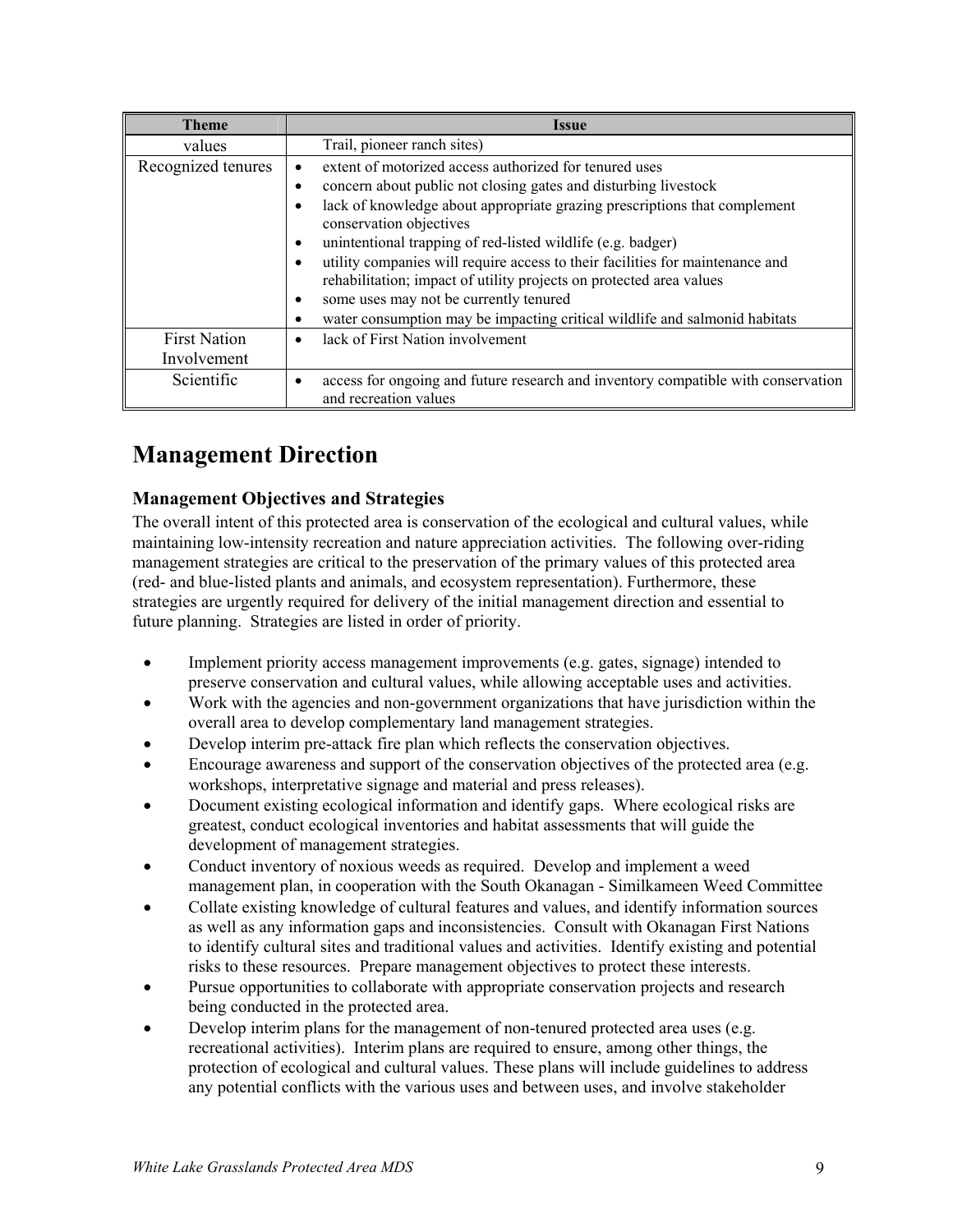| <b>Theme</b>                       | Issue                                                                                                                                                                                                                                                                                                                                                                                                                                                                                                                                                                                 |
|------------------------------------|---------------------------------------------------------------------------------------------------------------------------------------------------------------------------------------------------------------------------------------------------------------------------------------------------------------------------------------------------------------------------------------------------------------------------------------------------------------------------------------------------------------------------------------------------------------------------------------|
| values                             | Trail, pioneer ranch sites)                                                                                                                                                                                                                                                                                                                                                                                                                                                                                                                                                           |
| Recognized tenures                 | extent of motorized access authorized for tenured uses<br>concern about public not closing gates and disturbing livestock<br>lack of knowledge about appropriate grazing prescriptions that complement<br>conservation objectives<br>unintentional trapping of red-listed wildlife (e.g. badger)<br>utility companies will require access to their facilities for maintenance and<br>rehabilitation; impact of utility projects on protected area values<br>some uses may not be currently tenured<br>٠<br>water consumption may be impacting critical wildlife and salmonid habitats |
| <b>First Nation</b><br>Involvement | lack of First Nation involvement                                                                                                                                                                                                                                                                                                                                                                                                                                                                                                                                                      |
| <b>Scientific</b>                  | access for ongoing and future research and inventory compatible with conservation<br>and recreation values                                                                                                                                                                                                                                                                                                                                                                                                                                                                            |

# **Management Direction**

#### **Management Objectives and Strategies**

The overall intent of this protected area is conservation of the ecological and cultural values, while maintaining low-intensity recreation and nature appreciation activities. The following over-riding management strategies are critical to the preservation of the primary values of this protected area (red- and blue-listed plants and animals, and ecosystem representation). Furthermore, these strategies are urgently required for delivery of the initial management direction and essential to future planning. Strategies are listed in order of priority.

- Implement priority access management improvements (e.g. gates, signage) intended to preserve conservation and cultural values, while allowing acceptable uses and activities.
- Work with the agencies and non-government organizations that have jurisdiction within the overall area to develop complementary land management strategies.
- Develop interim pre-attack fire plan which reflects the conservation objectives.
- Encourage awareness and support of the conservation objectives of the protected area (e.g. workshops, interpretative signage and material and press releases).
- Document existing ecological information and identify gaps. Where ecological risks are greatest, conduct ecological inventories and habitat assessments that will guide the development of management strategies.
- Conduct inventory of noxious weeds as required. Develop and implement a weed management plan, in cooperation with the South Okanagan - Similkameen Weed Committee
- Collate existing knowledge of cultural features and values, and identify information sources as well as any information gaps and inconsistencies. Consult with Okanagan First Nations to identify cultural sites and traditional values and activities. Identify existing and potential risks to these resources. Prepare management objectives to protect these interests.
- Pursue opportunities to collaborate with appropriate conservation projects and research being conducted in the protected area.
- Develop interim plans for the management of non-tenured protected area uses (e.g. recreational activities). Interim plans are required to ensure, among other things, the protection of ecological and cultural values. These plans will include guidelines to address any potential conflicts with the various uses and between uses, and involve stakeholder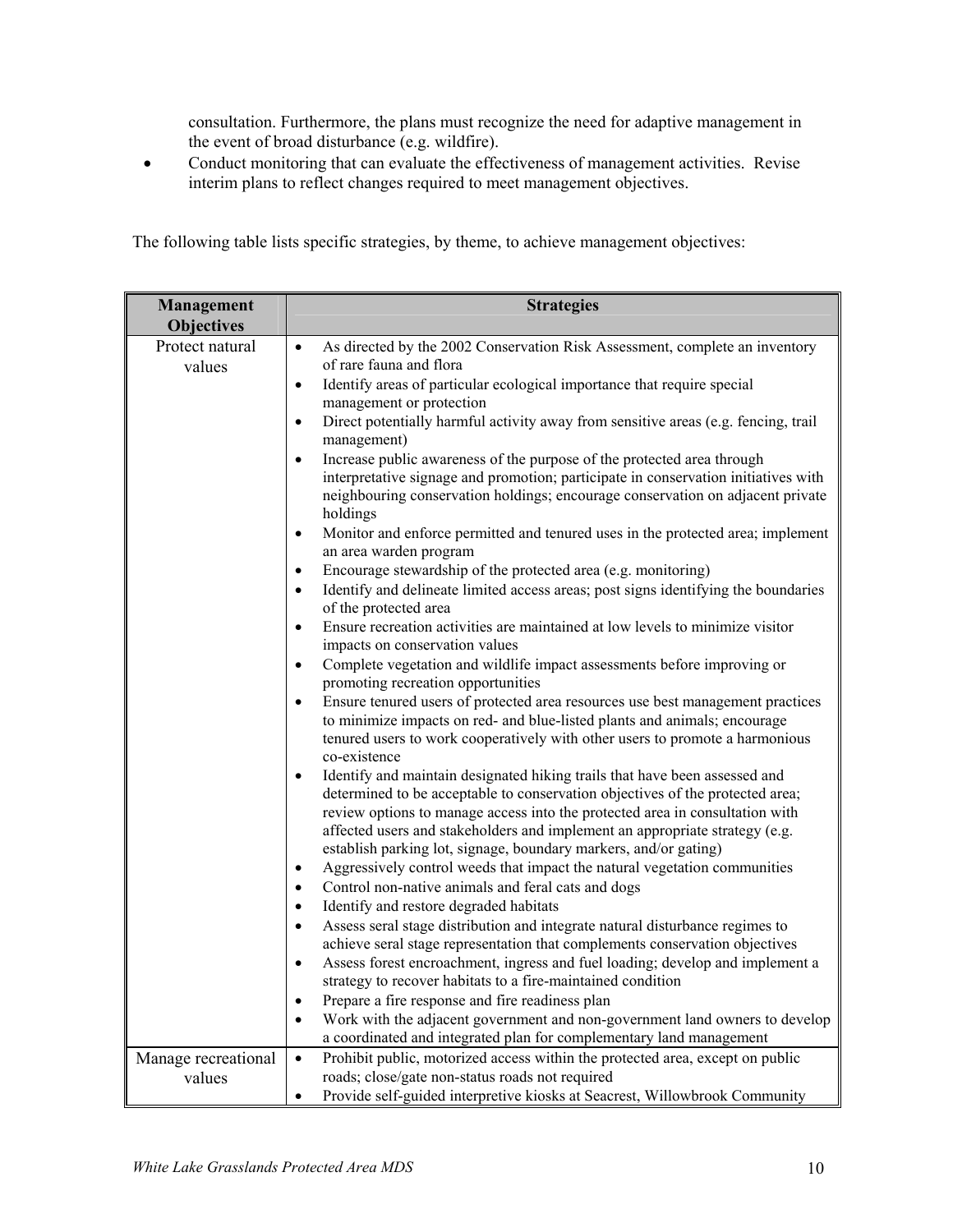consultation. Furthermore, the plans must recognize the need for adaptive management in the event of broad disturbance (e.g. wildfire).

• Conduct monitoring that can evaluate the effectiveness of management activities. Revise interim plans to reflect changes required to meet management objectives.

| Management                | <b>Strategies</b>                                                                                                                                                                                                                                                                                                                                                                                           |  |  |  |  |
|---------------------------|-------------------------------------------------------------------------------------------------------------------------------------------------------------------------------------------------------------------------------------------------------------------------------------------------------------------------------------------------------------------------------------------------------------|--|--|--|--|
| <b>Objectives</b>         |                                                                                                                                                                                                                                                                                                                                                                                                             |  |  |  |  |
| Protect natural<br>values | As directed by the 2002 Conservation Risk Assessment, complete an inventory<br>$\bullet$<br>of rare fauna and flora                                                                                                                                                                                                                                                                                         |  |  |  |  |
|                           | Identify areas of particular ecological importance that require special<br>$\bullet$                                                                                                                                                                                                                                                                                                                        |  |  |  |  |
|                           | management or protection                                                                                                                                                                                                                                                                                                                                                                                    |  |  |  |  |
|                           | Direct potentially harmful activity away from sensitive areas (e.g. fencing, trail<br>$\bullet$<br>management)                                                                                                                                                                                                                                                                                              |  |  |  |  |
|                           | Increase public awareness of the purpose of the protected area through<br>$\bullet$<br>interpretative signage and promotion; participate in conservation initiatives with<br>neighbouring conservation holdings; encourage conservation on adjacent private<br>holdings                                                                                                                                     |  |  |  |  |
|                           | Monitor and enforce permitted and tenured uses in the protected area; implement<br>$\bullet$<br>an area warden program                                                                                                                                                                                                                                                                                      |  |  |  |  |
|                           | Encourage stewardship of the protected area (e.g. monitoring)<br>$\bullet$<br>Identify and delineate limited access areas; post signs identifying the boundaries<br>$\bullet$                                                                                                                                                                                                                               |  |  |  |  |
|                           | of the protected area                                                                                                                                                                                                                                                                                                                                                                                       |  |  |  |  |
|                           | Ensure recreation activities are maintained at low levels to minimize visitor<br>$\bullet$<br>impacts on conservation values                                                                                                                                                                                                                                                                                |  |  |  |  |
|                           | Complete vegetation and wildlife impact assessments before improving or<br>$\bullet$<br>promoting recreation opportunities                                                                                                                                                                                                                                                                                  |  |  |  |  |
|                           | Ensure tenured users of protected area resources use best management practices<br>$\bullet$<br>to minimize impacts on red- and blue-listed plants and animals; encourage<br>tenured users to work cooperatively with other users to promote a harmonious<br>co-existence                                                                                                                                    |  |  |  |  |
|                           | Identify and maintain designated hiking trails that have been assessed and<br>$\bullet$<br>determined to be acceptable to conservation objectives of the protected area;<br>review options to manage access into the protected area in consultation with<br>affected users and stakeholders and implement an appropriate strategy (e.g.<br>establish parking lot, signage, boundary markers, and/or gating) |  |  |  |  |
|                           | Aggressively control weeds that impact the natural vegetation communities<br>$\bullet$                                                                                                                                                                                                                                                                                                                      |  |  |  |  |
|                           | Control non-native animals and feral cats and dogs<br>$\bullet$                                                                                                                                                                                                                                                                                                                                             |  |  |  |  |
|                           | Identify and restore degraded habitats<br>$\bullet$                                                                                                                                                                                                                                                                                                                                                         |  |  |  |  |
|                           | Assess seral stage distribution and integrate natural disturbance regimes to<br>$\bullet$                                                                                                                                                                                                                                                                                                                   |  |  |  |  |
|                           | achieve seral stage representation that complements conservation objectives                                                                                                                                                                                                                                                                                                                                 |  |  |  |  |
|                           | Assess forest encroachment, ingress and fuel loading; develop and implement a<br>$\bullet$                                                                                                                                                                                                                                                                                                                  |  |  |  |  |
|                           | strategy to recover habitats to a fire-maintained condition                                                                                                                                                                                                                                                                                                                                                 |  |  |  |  |
|                           | Prepare a fire response and fire readiness plan<br>$\bullet$<br>$\bullet$                                                                                                                                                                                                                                                                                                                                   |  |  |  |  |
|                           | Work with the adjacent government and non-government land owners to develop<br>a coordinated and integrated plan for complementary land management                                                                                                                                                                                                                                                          |  |  |  |  |
| Manage recreational       | Prohibit public, motorized access within the protected area, except on public<br>$\bullet$                                                                                                                                                                                                                                                                                                                  |  |  |  |  |
| values                    | roads; close/gate non-status roads not required                                                                                                                                                                                                                                                                                                                                                             |  |  |  |  |
|                           | Provide self-guided interpretive kiosks at Seacrest, Willowbrook Community<br>$\bullet$                                                                                                                                                                                                                                                                                                                     |  |  |  |  |

The following table lists specific strategies, by theme, to achieve management objectives: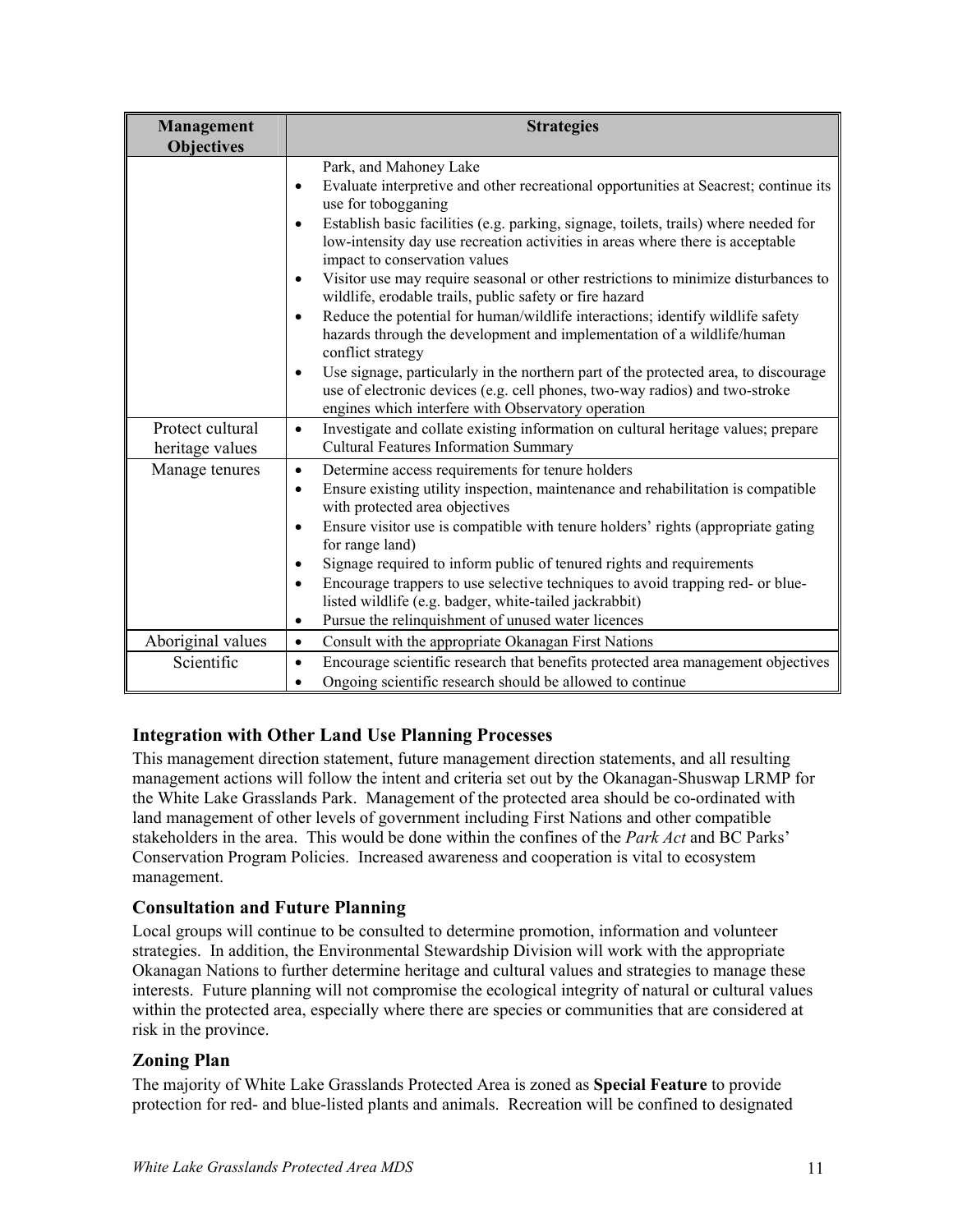| <b>Management</b><br><b>Objectives</b> | <b>Strategies</b>                                                                                                                                                                                                                                                                                                                                                                                                                                                                                                                                                                                                                                                                                                                                                                                                                                                                                                         |
|----------------------------------------|---------------------------------------------------------------------------------------------------------------------------------------------------------------------------------------------------------------------------------------------------------------------------------------------------------------------------------------------------------------------------------------------------------------------------------------------------------------------------------------------------------------------------------------------------------------------------------------------------------------------------------------------------------------------------------------------------------------------------------------------------------------------------------------------------------------------------------------------------------------------------------------------------------------------------|
|                                        | Park, and Mahoney Lake<br>Evaluate interpretive and other recreational opportunities at Seacrest; continue its<br>$\bullet$<br>use for tobogganing<br>Establish basic facilities (e.g. parking, signage, toilets, trails) where needed for<br>$\bullet$<br>low-intensity day use recreation activities in areas where there is acceptable<br>impact to conservation values<br>Visitor use may require seasonal or other restrictions to minimize disturbances to<br>$\bullet$<br>wildlife, erodable trails, public safety or fire hazard<br>Reduce the potential for human/wildlife interactions; identify wildlife safety<br>$\bullet$<br>hazards through the development and implementation of a wildlife/human<br>conflict strategy<br>Use signage, particularly in the northern part of the protected area, to discourage<br>$\bullet$<br>use of electronic devices (e.g. cell phones, two-way radios) and two-stroke |
|                                        | engines which interfere with Observatory operation                                                                                                                                                                                                                                                                                                                                                                                                                                                                                                                                                                                                                                                                                                                                                                                                                                                                        |
| Protect cultural<br>heritage values    | Investigate and collate existing information on cultural heritage values; prepare<br>$\bullet$<br><b>Cultural Features Information Summary</b>                                                                                                                                                                                                                                                                                                                                                                                                                                                                                                                                                                                                                                                                                                                                                                            |
| Manage tenures                         | Determine access requirements for tenure holders<br>$\bullet$<br>Ensure existing utility inspection, maintenance and rehabilitation is compatible<br>$\bullet$<br>with protected area objectives<br>Ensure visitor use is compatible with tenure holders' rights (appropriate gating<br>$\bullet$<br>for range land)<br>Signage required to inform public of tenured rights and requirements<br>$\bullet$<br>Encourage trappers to use selective techniques to avoid trapping red- or blue-<br>$\bullet$<br>listed wildlife (e.g. badger, white-tailed jackrabbit)<br>Pursue the relinquishment of unused water licences<br>$\bullet$                                                                                                                                                                                                                                                                                     |
| Aboriginal values                      | Consult with the appropriate Okanagan First Nations<br>$\bullet$                                                                                                                                                                                                                                                                                                                                                                                                                                                                                                                                                                                                                                                                                                                                                                                                                                                          |
| Scientific                             | Encourage scientific research that benefits protected area management objectives<br>$\bullet$<br>Ongoing scientific research should be allowed to continue                                                                                                                                                                                                                                                                                                                                                                                                                                                                                                                                                                                                                                                                                                                                                                |

#### **Integration with Other Land Use Planning Processes**

This management direction statement, future management direction statements, and all resulting management actions will follow the intent and criteria set out by the Okanagan-Shuswap LRMP for the White Lake Grasslands Park. Management of the protected area should be co-ordinated with land management of other levels of government including First Nations and other compatible stakeholders in the area. This would be done within the confines of the *Park Act* and BC Parks' Conservation Program Policies. Increased awareness and cooperation is vital to ecosystem management.

#### **Consultation and Future Planning**

Local groups will continue to be consulted to determine promotion, information and volunteer strategies. In addition, the Environmental Stewardship Division will work with the appropriate Okanagan Nations to further determine heritage and cultural values and strategies to manage these interests. Future planning will not compromise the ecological integrity of natural or cultural values within the protected area, especially where there are species or communities that are considered at risk in the province.

#### **Zoning Plan**

The majority of White Lake Grasslands Protected Area is zoned as **Special Feature** to provide protection for red- and blue-listed plants and animals. Recreation will be confined to designated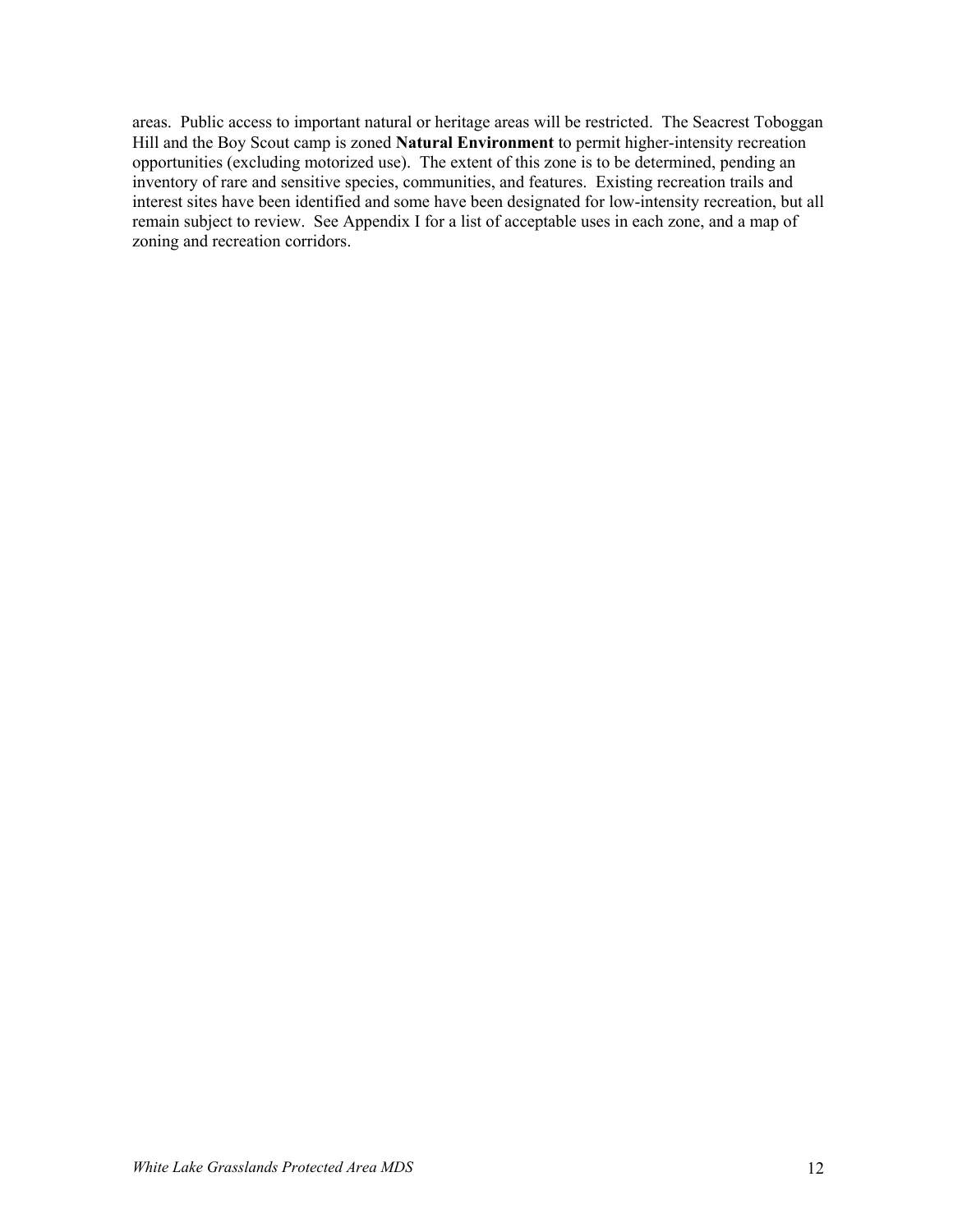areas. Public access to important natural or heritage areas will be restricted. The Seacrest Toboggan Hill and the Boy Scout camp is zoned **Natural Environment** to permit higher-intensity recreation opportunities (excluding motorized use). The extent of this zone is to be determined, pending an inventory of rare and sensitive species, communities, and features. Existing recreation trails and interest sites have been identified and some have been designated for low-intensity recreation, but all remain subject to review. See Appendix I for a list of acceptable uses in each zone, and a map of zoning and recreation corridors.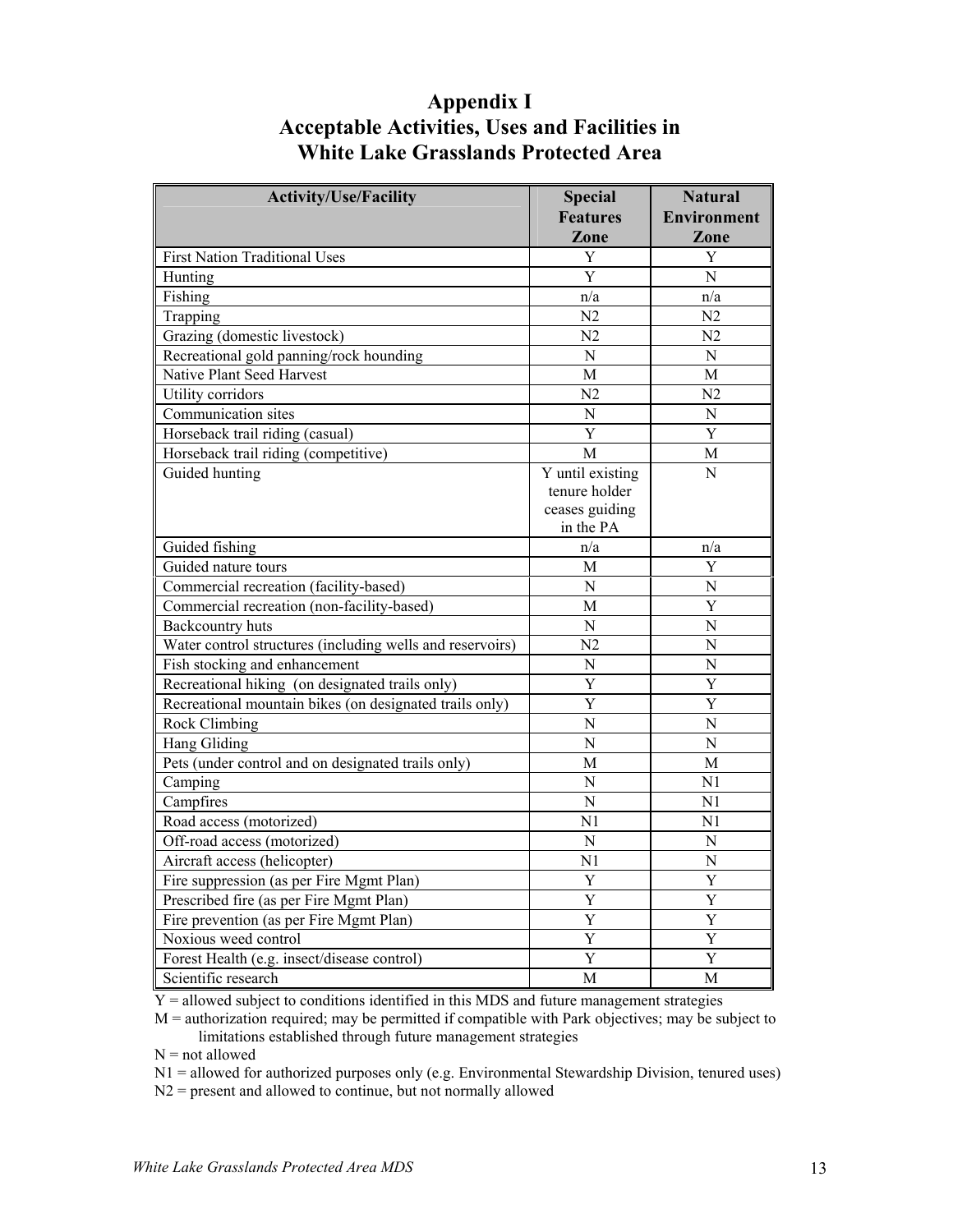### **Appendix I Acceptable Activities, Uses and Facilities in White Lake Grasslands Protected Area**

| <b>Activity/Use/Facility</b>                              | <b>Special</b>                                                   | <b>Natural</b>        |
|-----------------------------------------------------------|------------------------------------------------------------------|-----------------------|
|                                                           | <b>Features</b>                                                  | <b>Environment</b>    |
|                                                           | Zone                                                             | Zone                  |
| <b>First Nation Traditional Uses</b>                      | Y                                                                | Y                     |
| Hunting                                                   | Y                                                                | N                     |
| Fishing                                                   | n/a                                                              | n/a                   |
| Trapping                                                  | N <sub>2</sub>                                                   | N <sub>2</sub>        |
| Grazing (domestic livestock)                              | N <sub>2</sub>                                                   | N <sub>2</sub>        |
| Recreational gold panning/rock hounding                   | $\overline{N}$                                                   | $\overline{N}$        |
| Native Plant Seed Harvest                                 | М                                                                | М                     |
| Utility corridors                                         | N <sub>2</sub>                                                   | N <sub>2</sub>        |
| Communication sites                                       | $\overline{N}$                                                   | $\mathbf N$           |
| Horseback trail riding (casual)                           | Y                                                                | Y                     |
| Horseback trail riding (competitive)                      | M                                                                | М                     |
| Guided hunting                                            | Y until existing<br>tenure holder<br>ceases guiding<br>in the PA | N                     |
| Guided fishing                                            | n/a                                                              | n/a                   |
| Guided nature tours                                       | M                                                                | Y                     |
| Commercial recreation (facility-based)                    | $\overline{N}$                                                   | N                     |
| Commercial recreation (non-facility-based)                | M                                                                | Y                     |
| <b>Backcountry huts</b>                                   | $\overline{N}$                                                   | N                     |
| Water control structures (including wells and reservoirs) | N <sub>2</sub>                                                   | $\overline{N}$        |
| Fish stocking and enhancement                             | $\overline{N}$                                                   | N                     |
| Recreational hiking (on designated trails only)           | Y                                                                | Y                     |
| Recreational mountain bikes (on designated trails only)   | $\overline{Y}$                                                   | Y                     |
| Rock Climbing                                             | $\overline{N}$                                                   | $\overline{N}$        |
| Hang Gliding                                              | $\overline{N}$                                                   | $\overline{N}$        |
| Pets (under control and on designated trails only)        | М                                                                | M                     |
| Camping                                                   | N                                                                | N1                    |
| Campfires                                                 | $\overline{N}$                                                   | N <sub>1</sub>        |
| Road access (motorized)                                   | N <sub>1</sub>                                                   | N <sub>1</sub>        |
| Off-road access (motorized)                               | $\overline{N}$                                                   | N                     |
| Aircraft access (helicopter)                              | N <sub>1</sub>                                                   | $\overline{N}$        |
| Fire suppression (as per Fire Mgmt Plan)                  | Y                                                                | Y                     |
| Prescribed fire (as per Fire Mgmt Plan)                   | Y                                                                | Y                     |
| Fire prevention (as per Fire Mgmt Plan)                   | Y                                                                | Y                     |
| Noxious weed control                                      | $\overline{\mathrm{Y}}$                                          | $\overline{\text{Y}}$ |
| Forest Health (e.g. insect/disease control)               | Y                                                                | Y                     |
| Scientific research                                       | M                                                                | М                     |

Y = allowed subject to conditions identified in this MDS and future management strategies

M = authorization required; may be permitted if compatible with Park objectives; may be subject to limitations established through future management strategies

 $N = not allowed$ 

N1 = allowed for authorized purposes only (e.g. Environmental Stewardship Division, tenured uses)

N2 = present and allowed to continue, but not normally allowed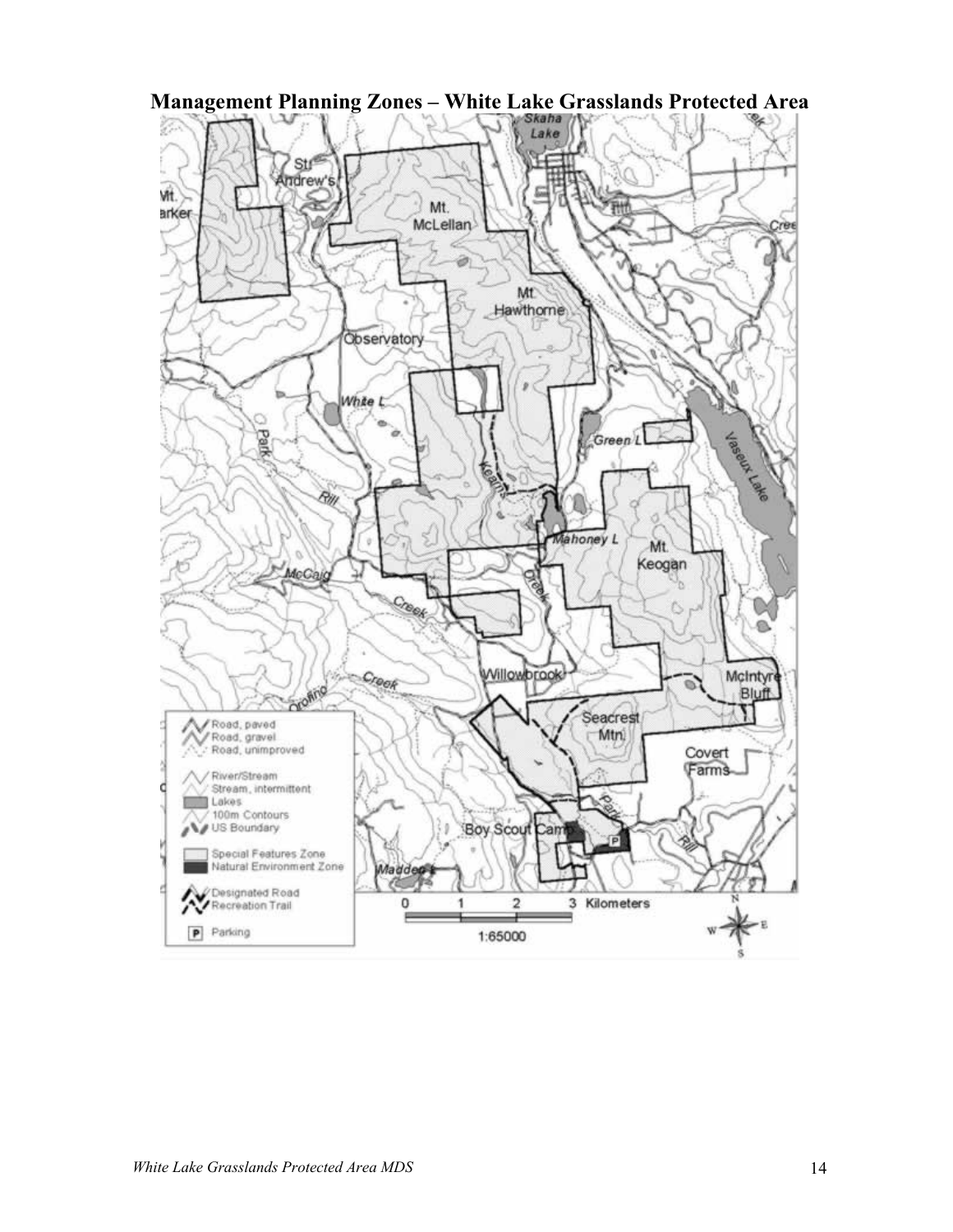

**Management Planning Zones – White Lake Grasslands Protected Area**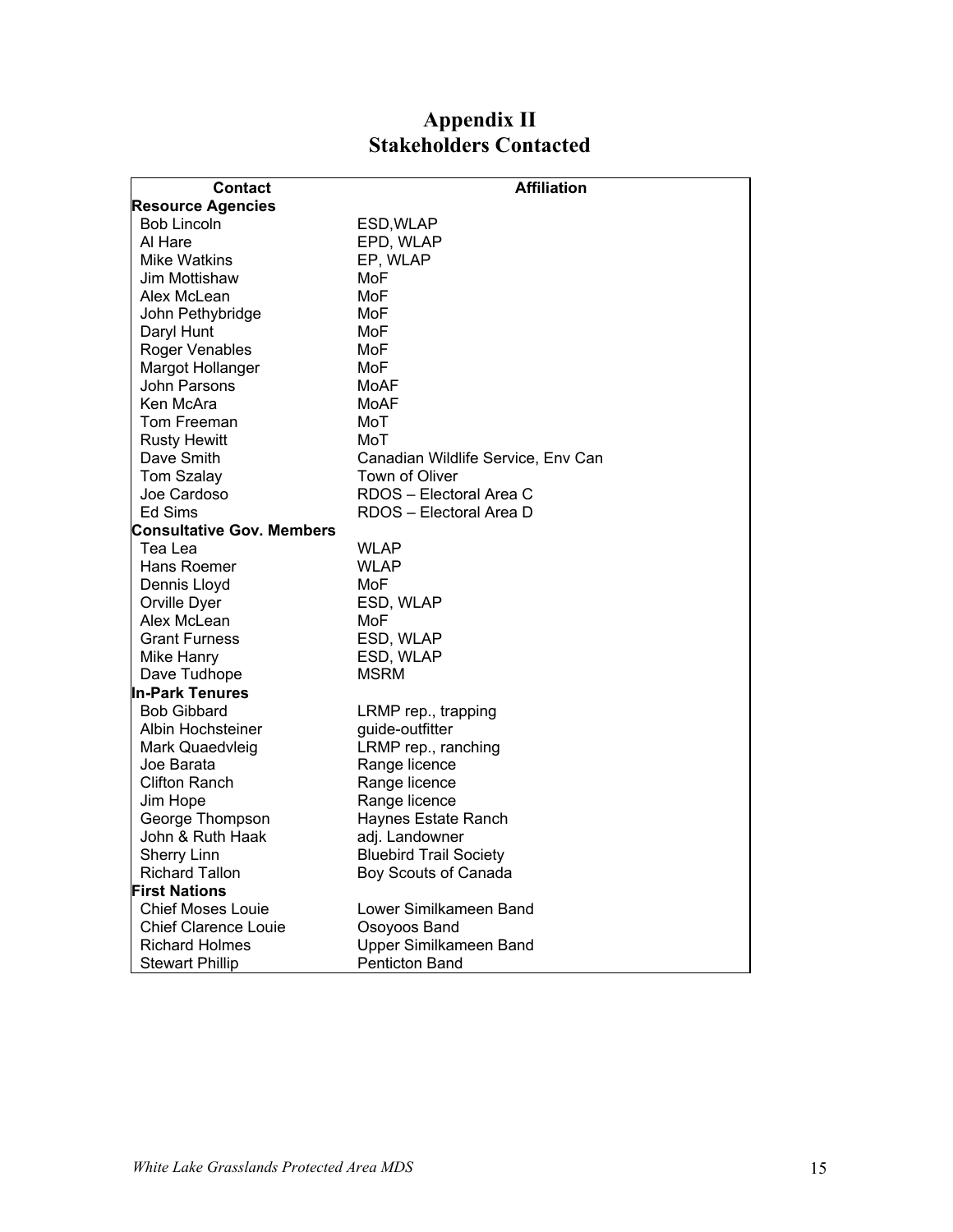### **Appendix II Stakeholders Contacted**

| Contact                          | <b>Affiliation</b>                 |  |  |  |  |
|----------------------------------|------------------------------------|--|--|--|--|
| <b>Resource Agencies</b>         |                                    |  |  |  |  |
| <b>Bob Lincoln</b>               | ESD,WLAP                           |  |  |  |  |
| Al Hare                          | EPD, WLAP                          |  |  |  |  |
| <b>Mike Watkins</b>              | EP, WLAP                           |  |  |  |  |
| Jim Mottishaw                    | MoF                                |  |  |  |  |
| Alex McLean                      | MoF                                |  |  |  |  |
| John Pethybridge                 | MoF                                |  |  |  |  |
| Daryl Hunt                       | MoF                                |  |  |  |  |
| Roger Venables                   | MoF                                |  |  |  |  |
| Margot Hollanger                 | MoF                                |  |  |  |  |
| John Parsons                     | MoAF                               |  |  |  |  |
| Ken McAra                        | MoAF                               |  |  |  |  |
| Tom Freeman                      | MoT                                |  |  |  |  |
| <b>Rusty Hewitt</b>              | MoT                                |  |  |  |  |
| Dave Smith                       | Canadian Wildlife Service, Env Can |  |  |  |  |
| Tom Szalay                       | <b>Town of Oliver</b>              |  |  |  |  |
| Joe Cardoso                      | RDOS - Electoral Area C            |  |  |  |  |
| Ed Sims                          | RDOS - Electoral Area D            |  |  |  |  |
| <b>Consultative Gov. Members</b> |                                    |  |  |  |  |
| Tea Lea                          | <b>WLAP</b>                        |  |  |  |  |
| Hans Roemer                      | WLAP                               |  |  |  |  |
| Dennis Lloyd                     | MoF                                |  |  |  |  |
| Orville Dyer                     | ESD, WLAP                          |  |  |  |  |
| Alex McLean                      | MoF                                |  |  |  |  |
| <b>Grant Furness</b>             | ESD, WLAP                          |  |  |  |  |
| Mike Hanry                       | ESD, WLAP                          |  |  |  |  |
| Dave Tudhope                     | <b>MSRM</b>                        |  |  |  |  |
| <b>In-Park Tenures</b>           |                                    |  |  |  |  |
| <b>Bob Gibbard</b>               | LRMP rep., trapping                |  |  |  |  |
| Albin Hochsteiner                | guide-outfitter                    |  |  |  |  |
| Mark Quaedvleig                  | LRMP rep., ranching                |  |  |  |  |
| Joe Barata                       | Range licence                      |  |  |  |  |
| <b>Clifton Ranch</b>             | Range licence                      |  |  |  |  |
| Jim Hope                         | Range licence                      |  |  |  |  |
| George Thompson                  | Haynes Estate Ranch                |  |  |  |  |
| John & Ruth Haak                 | adj. Landowner                     |  |  |  |  |
| <b>Sherry Linn</b>               | <b>Bluebird Trail Society</b>      |  |  |  |  |
| <b>Richard Tallon</b>            | Boy Scouts of Canada               |  |  |  |  |
| <b>First Nations</b>             |                                    |  |  |  |  |
| <b>Chief Moses Louie</b>         | Lower Similkameen Band             |  |  |  |  |
| <b>Chief Clarence Louie</b>      | Osoyoos Band                       |  |  |  |  |
| <b>Richard Holmes</b>            | Upper Similkameen Band             |  |  |  |  |
| <b>Stewart Phillip</b>           | <b>Penticton Band</b>              |  |  |  |  |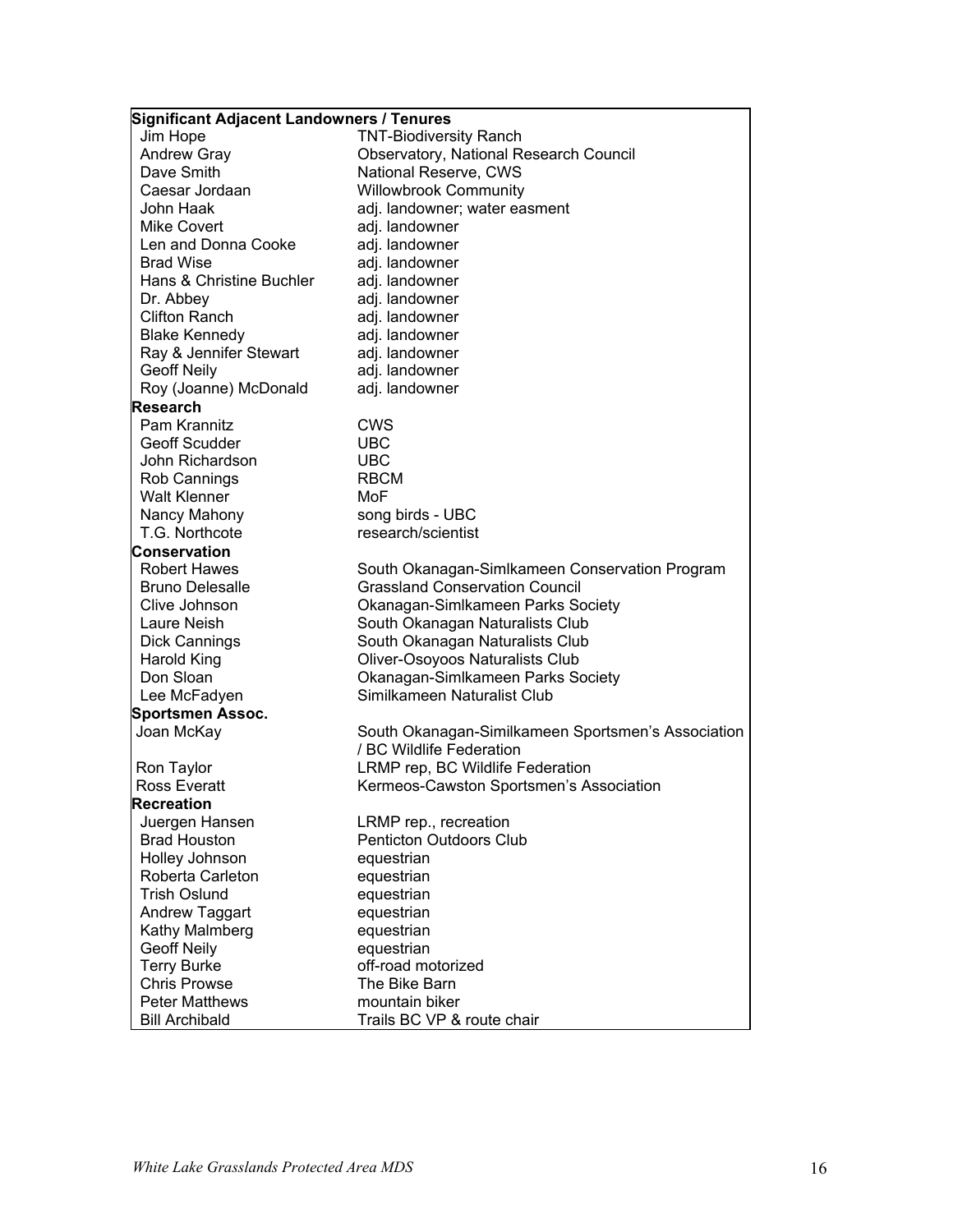#### **Significant Adjacent Landowners / Tenures**

Jim Hope TNT-Biodiversity Ranch<br>Andrew Gray Choservatory, National R Observatory, National Research Council Dave Smith **National Reserve, CWS**<br>Caesar Jordaan **National Willowbrook Community** Willowbrook Community John Haak adj. landowner; water easment Mike Covert adj. landowner Len and Donna Cooke adj. landowner Brad Wise **adi.** landowner Hans & Christine Buchler adj. landowner Dr. Abbey adj. landowner Clifton Ranch adi, landowner Blake Kennedy adj. landowner<br>Rav & Jennifer Stewart adi. landowner Ray & Jennifer Stewart Geoff Neily **adi**, landowner Roy (Joanne) McDonald adj. landowner **Research**  Pam Krannitz CWS Geoff Scudder **UBC** John Richardson UBC Rob Cannings Walt Klenner MoF Nancy Mahony song birds - UBC T.G. Northcote research/scientist **Conservation**  Robert Hawes South Okanagan-Simlkameen Conservation Program Bruno Delesalle Grassland Conservation Council Clive Johnson Okanagan-Simlkameen Parks Society Laure Neish South Okanagan Naturalists Club Dick Cannings **South Okanagan Naturalists Club** Harold King **Calculation Cliver-Osoyoos Naturalists Club** Don Sloan Okanagan-Simlkameen Parks Society Lee McFadyen Similkameen Naturalist Club **Sportsmen Assoc.**  South Okanagan-Similkameen Sportsmen's Association / BC Wildlife Federation Ron Taylor LRMP rep, BC Wildlife Federation Ross Everatt Kermeos-Cawston Sportsmen's Association **Recreation**  Juergen Hansen LRMP rep., recreation Brad Houston **Penticton Outdoors Club** Holley Johnson equestrian Roberta Carleton equestrian Trish Oslund **Example 20** equestrian Andrew Taggart equestrian Kathy Malmberg equestrian Geoff Neily **Example 20** equestrian Terry Burke **Calculation Control** off-road motorized Chris Prowse The Bike Barn Peter Matthews **mountain biker** Bill Archibald Trails BC VP & route chair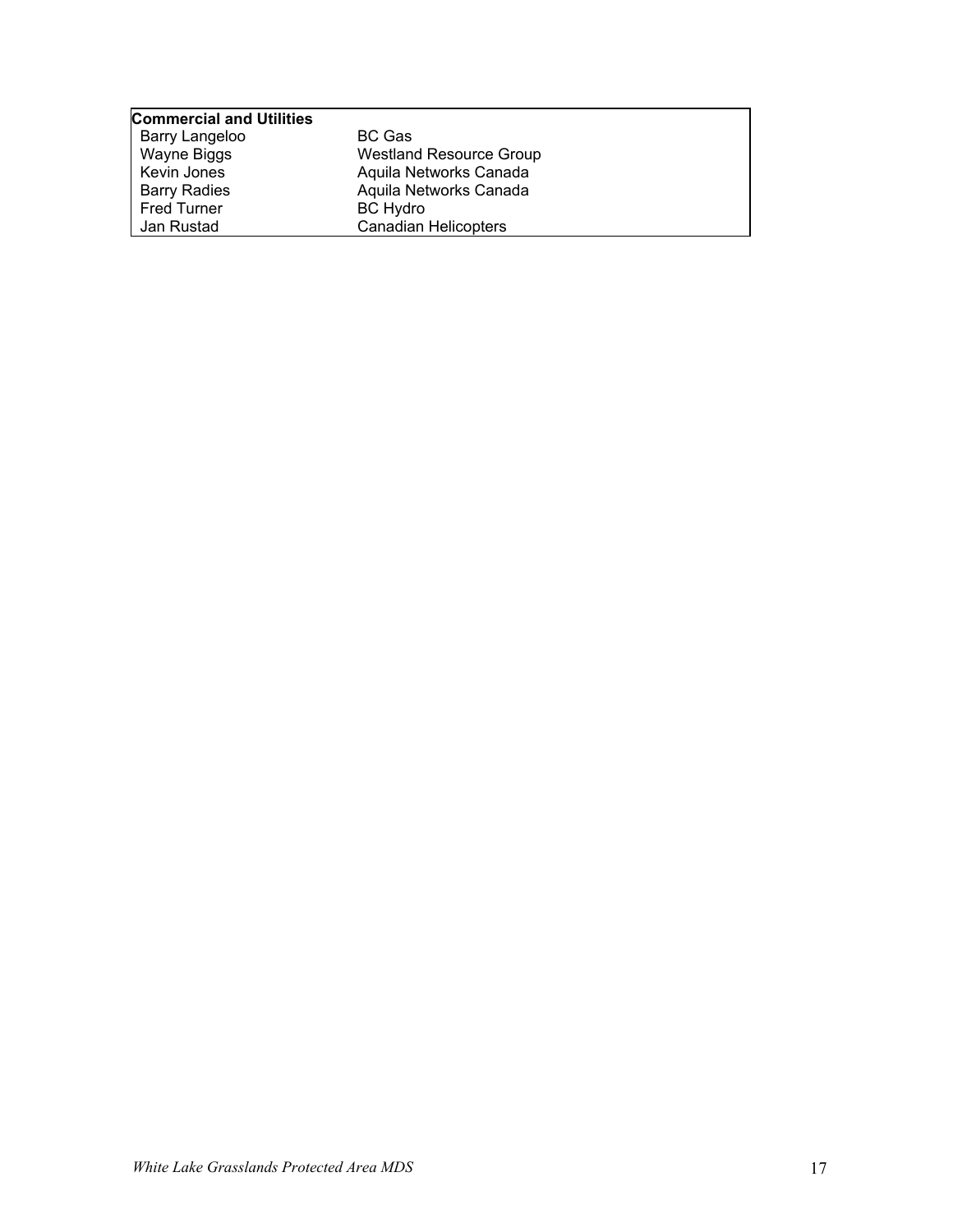| <b>Commercial and Utilities</b> |                                |
|---------------------------------|--------------------------------|
| Barry Langeloo                  | <b>BC Gas</b>                  |
| Wayne Biggs                     | <b>Westland Resource Group</b> |
| Kevin Jones                     | Aquila Networks Canada         |
| <b>Barry Radies</b>             | Aquila Networks Canada         |
| <b>Fred Turner</b>              | <b>BC Hydro</b>                |
| Jan Rustad                      | <b>Canadian Helicopters</b>    |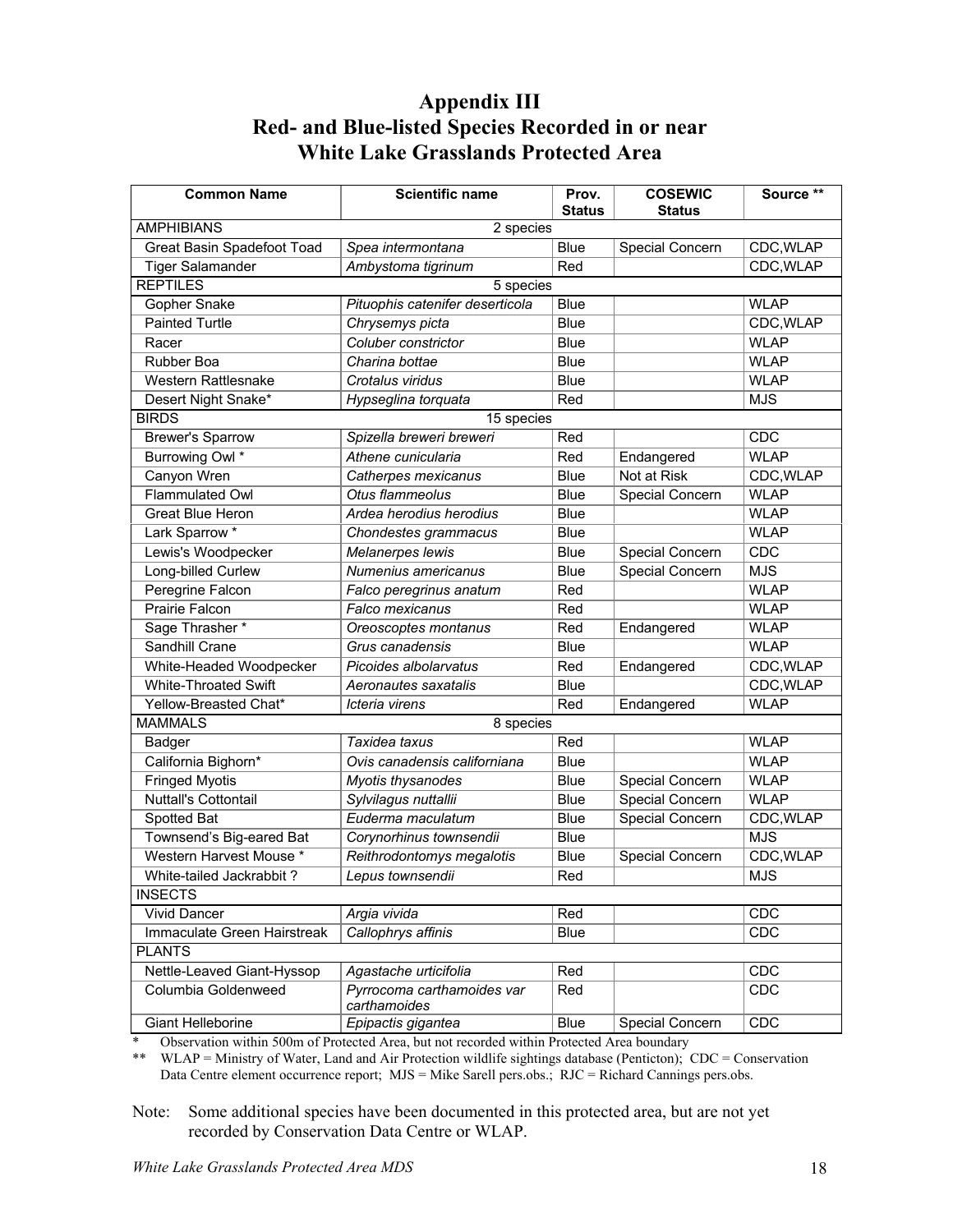### **Appendix III Red- and Blue-listed Species Recorded in or near White Lake Grasslands Protected Area**

| <b>Common Name</b>                                                | <b>Scientific name</b>          | Prov.         | <b>COSEWIC</b>  | Source <sup>**</sup> |
|-------------------------------------------------------------------|---------------------------------|---------------|-----------------|----------------------|
|                                                                   |                                 | <b>Status</b> | <b>Status</b>   |                      |
| <b>AMPHIBIANS</b>                                                 | 2 species                       |               |                 |                      |
| Great Basin Spadefoot Toad                                        | Spea intermontana               | <b>Blue</b>   | Special Concern | CDC, WLAP            |
| <b>Tiger Salamander</b>                                           | Ambystoma tigrinum              | Red           |                 | CDC, WLAP            |
| <b>REPTILES</b>                                                   | 5 species                       |               |                 |                      |
| Gopher Snake                                                      | Pituophis catenifer deserticola | <b>Blue</b>   |                 | <b>WLAP</b>          |
| <b>Painted Turtle</b>                                             | Chrysemys picta                 | <b>Blue</b>   |                 | CDC, WLAP            |
| Racer                                                             | Coluber constrictor             | <b>Blue</b>   |                 | <b>WLAP</b>          |
| Rubber Boa                                                        | Charina bottae                  | <b>Blue</b>   |                 | <b>WLAP</b>          |
| <b>Western Rattlesnake</b>                                        | Crotalus viridus                | Blue          |                 | <b>WLAP</b>          |
| Desert Night Snake*                                               | Hypseglina torquata             | Red           |                 | <b>MJS</b>           |
| <b>BIRDS</b>                                                      | 15 species                      |               |                 |                      |
| <b>Brewer's Sparrow</b>                                           | Spizella breweri breweri        | Red           |                 | CDC                  |
| Burrowing Owl *                                                   | Athene cunicularia              | Red           | Endangered      | <b>WLAP</b>          |
| Canyon Wren                                                       | Catherpes mexicanus             | <b>Blue</b>   | Not at Risk     | CDC, WLAP            |
| Flammulated Owl                                                   | Otus flammeolus                 | <b>Blue</b>   | Special Concern | <b>WLAP</b>          |
| Great Blue Heron                                                  | Ardea herodius herodius         | <b>Blue</b>   |                 | <b>WLAP</b>          |
| Lark Sparrow *                                                    | Chondestes grammacus            | <b>Blue</b>   |                 | <b>WLAP</b>          |
| Lewis's Woodpecker                                                | Melanerpes lewis                | <b>Blue</b>   | Special Concern | CDC                  |
| Long-billed Curlew                                                | Numenius americanus             |               | Special Concern | <b>MJS</b>           |
| Peregrine Falcon                                                  | Falco peregrinus anatum         | Red           |                 | <b>WLAP</b>          |
| Prairie Falcon                                                    | Falco mexicanus                 | Red           |                 | <b>WLAP</b>          |
| Sage Thrasher *                                                   | Oreoscoptes montanus            | Red           | Endangered      | <b>WLAP</b>          |
| Sandhill Crane                                                    | Grus canadensis                 | <b>Blue</b>   |                 | <b>WLAP</b>          |
| White-Headed Woodpecker                                           | Picoides albolarvatus           | Red           | Endangered      | CDC, WLAP            |
| <b>White-Throated Swift</b>                                       | Aeronautes saxatalis            | <b>Blue</b>   |                 | CDC, WLAP            |
| Yellow-Breasted Chat*                                             | Icteria virens                  | Red           | Endangered      | <b>WLAP</b>          |
| <b>MAMMALS</b>                                                    | 8 species                       |               |                 |                      |
| Badger                                                            | Taxidea taxus                   | Red           |                 | <b>WLAP</b>          |
| California Bighorn*                                               | Ovis canadensis californiana    | <b>Blue</b>   |                 | <b>WLAP</b>          |
| <b>Fringed Myotis</b>                                             | Myotis thysanodes               | Blue          | Special Concern | <b>WLAP</b>          |
| <b>Nuttall's Cottontail</b>                                       | Sylvilagus nuttallii            | Blue          | Special Concern | <b>WLAP</b>          |
| Spotted Bat                                                       | Euderma maculatum               | <b>Blue</b>   | Special Concern | CDC, WLAP            |
| Townsend's Big-eared Bat                                          | Corynorhinus townsendii         | Blue          |                 | <b>MJS</b>           |
| Western Harvest Mouse *                                           | Reithrodontomys megalotis       | <b>Blue</b>   | Special Concern | CDC, WLAP            |
| White-tailed Jackrabbit?                                          | Lepus townsendii                | Red           |                 | <b>MJS</b>           |
| <b>INSECTS</b>                                                    |                                 |               |                 |                      |
| <b>Vivid Dancer</b><br>Argia vivida                               |                                 | Red           |                 | CDC                  |
| Immaculate Green Hairstreak                                       | Callophrys affinis              | Blue          |                 | CDC                  |
| <b>PLANTS</b>                                                     |                                 |               |                 |                      |
| Nettle-Leaved Giant-Hyssop                                        | Agastache urticifolia           | Red           |                 | CDC                  |
| Columbia Goldenweed<br>Pyrrocoma carthamoides var<br>carthamoides |                                 | Red           |                 | CDC                  |
| Giant Helleborine                                                 | Epipactis gigantea              | Blue          | Special Concern | CDC                  |

\* Observation within 500m of Protected Area, but not recorded within Protected Area boundary

\*\* WLAP = Ministry of Water, Land and Air Protection wildlife sightings database (Penticton); CDC = Conservation Data Centre element occurrence report; MJS = Mike Sarell pers.obs.; RJC = Richard Cannings pers.obs.

Note: Some additional species have been documented in this protected area, but are not yet recorded by Conservation Data Centre or WLAP.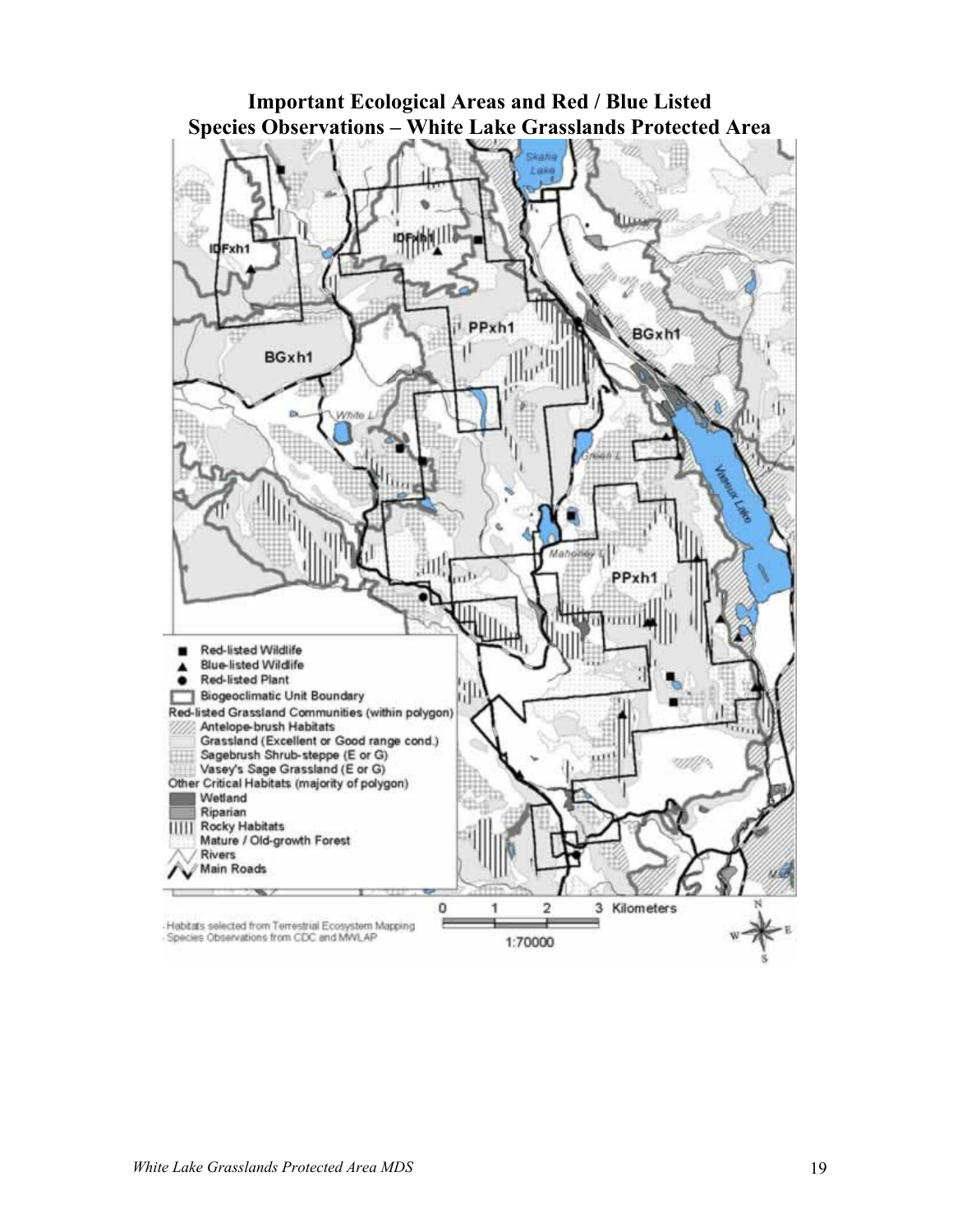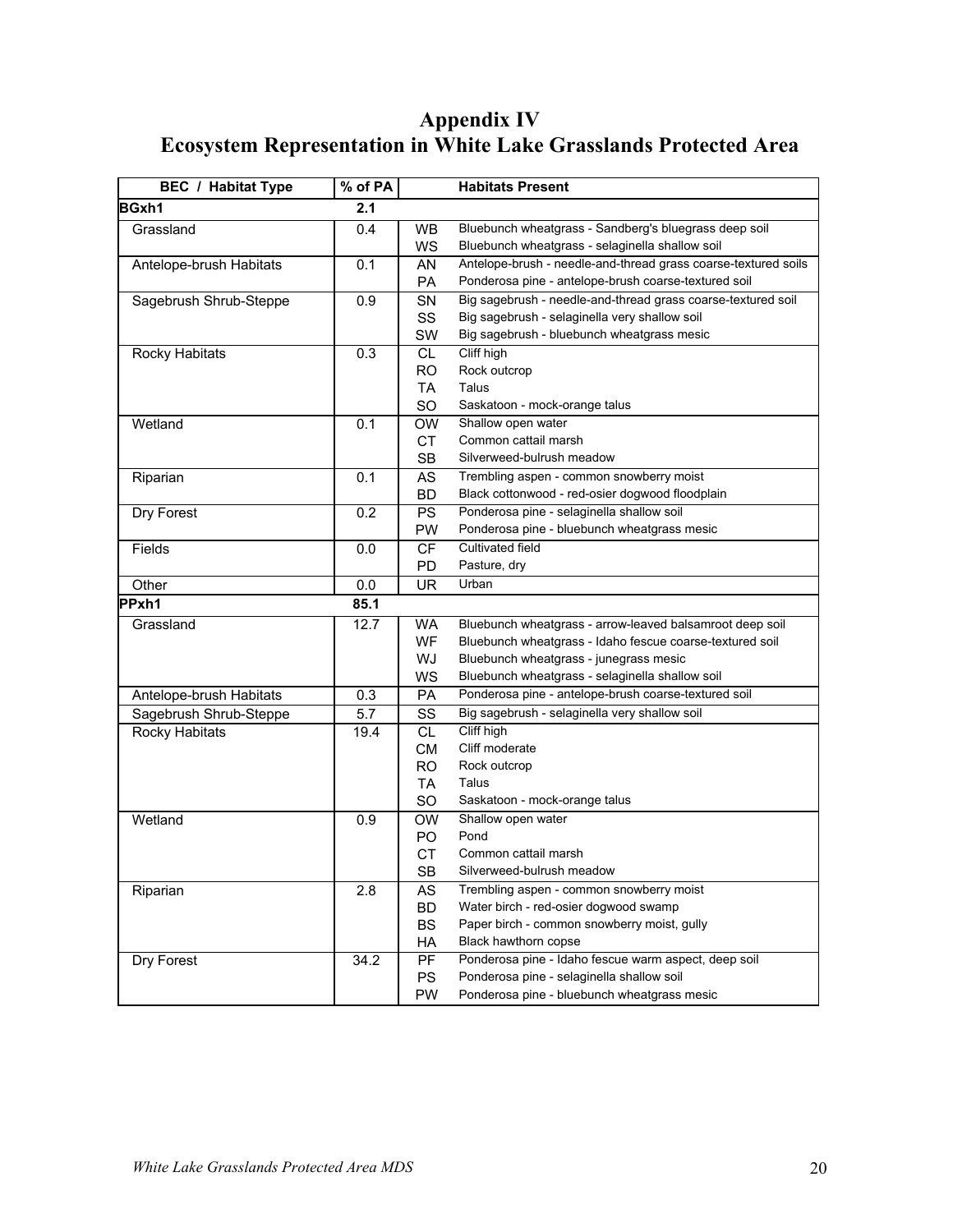### **Appendix IV Ecosystem Representation in White Lake Grasslands Protected Area**

| <b>BEC</b> / Habitat Type | % of PA |           | <b>Habitats Present</b>                                        |
|---------------------------|---------|-----------|----------------------------------------------------------------|
| BGxh1                     | 2.1     |           |                                                                |
| Grassland                 | 0.4     | <b>WB</b> | Bluebunch wheatgrass - Sandberg's bluegrass deep soil          |
|                           |         | WS        | Bluebunch wheatgrass - selaginella shallow soil                |
| Antelope-brush Habitats   | 0.1     | AN        | Antelope-brush - needle-and-thread grass coarse-textured soils |
|                           |         | <b>PA</b> | Ponderosa pine - antelope-brush coarse-textured soil           |
| Sagebrush Shrub-Steppe    | 0.9     | <b>SN</b> | Big sagebrush - needle-and-thread grass coarse-textured soil   |
|                           |         | SS        | Big sagebrush - selaginella very shallow soil                  |
|                           |         | <b>SW</b> | Big sagebrush - bluebunch wheatgrass mesic                     |
| Rocky Habitats            | 0.3     | <b>CL</b> | Cliff high                                                     |
|                           |         | <b>RO</b> | Rock outcrop                                                   |
|                           |         | TA        | Talus                                                          |
|                           |         | SO        | Saskatoon - mock-orange talus                                  |
| Wetland                   | 0.1     | <b>OW</b> | Shallow open water                                             |
|                           |         | <b>CT</b> | Common cattail marsh                                           |
|                           |         | <b>SB</b> | Silverweed-bulrush meadow                                      |
| Riparian                  | 0.1     | AS        | Trembling aspen - common snowberry moist                       |
|                           |         | <b>BD</b> | Black cottonwood - red-osier dogwood floodplain                |
| Dry Forest                | 0.2     | <b>PS</b> | Ponderosa pine - selaginella shallow soil                      |
|                           |         | <b>PW</b> | Ponderosa pine - bluebunch wheatgrass mesic                    |
| Fields                    | 0.0     | <b>CF</b> | Cultivated field                                               |
|                           |         | PD        | Pasture, dry                                                   |
| Other                     | 0.0     | UR        | Urban                                                          |
| PPxh1                     | 85.1    |           |                                                                |
| Grassland                 | 12.7    | <b>WA</b> | Bluebunch wheatgrass - arrow-leaved balsamroot deep soil       |
|                           |         | <b>WF</b> | Bluebunch wheatgrass - Idaho fescue coarse-textured soil       |
|                           |         | WJ        | Bluebunch wheatgrass - junegrass mesic                         |
|                           |         | WS        | Bluebunch wheatgrass - selaginella shallow soil                |
| Antelope-brush Habitats   | 0.3     | <b>PA</b> | Ponderosa pine - antelope-brush coarse-textured soil           |
| Sagebrush Shrub-Steppe    | 5.7     | SS        | Big sagebrush - selaginella very shallow soil                  |
| Rocky Habitats            | 19.4    | <b>CL</b> | Cliff high                                                     |
|                           |         | <b>CM</b> | Cliff moderate                                                 |
|                           |         | <b>RO</b> | Rock outcrop                                                   |
|                           |         | <b>TA</b> | Talus                                                          |
|                           |         | <b>SO</b> | Saskatoon - mock-orange talus                                  |
| Wetland                   | 0.9     | <b>OW</b> | Shallow open water                                             |
|                           |         | PO        | Pond                                                           |
|                           |         | <b>CT</b> | Common cattail marsh                                           |
|                           |         | SB        | Silverweed-bulrush meadow                                      |
| Riparian                  | 2.8     | AS        | Trembling aspen - common snowberry moist                       |
|                           |         | <b>BD</b> | Water birch - red-osier dogwood swamp                          |
|                           |         | <b>BS</b> | Paper birch - common snowberry moist, gully                    |
|                           |         | НA        | Black hawthorn copse                                           |
| Dry Forest                | 34.2    | PF        | Ponderosa pine - Idaho fescue warm aspect, deep soil           |
|                           |         | <b>PS</b> | Ponderosa pine - selaginella shallow soil                      |
|                           |         | PW        | Ponderosa pine - bluebunch wheatgrass mesic                    |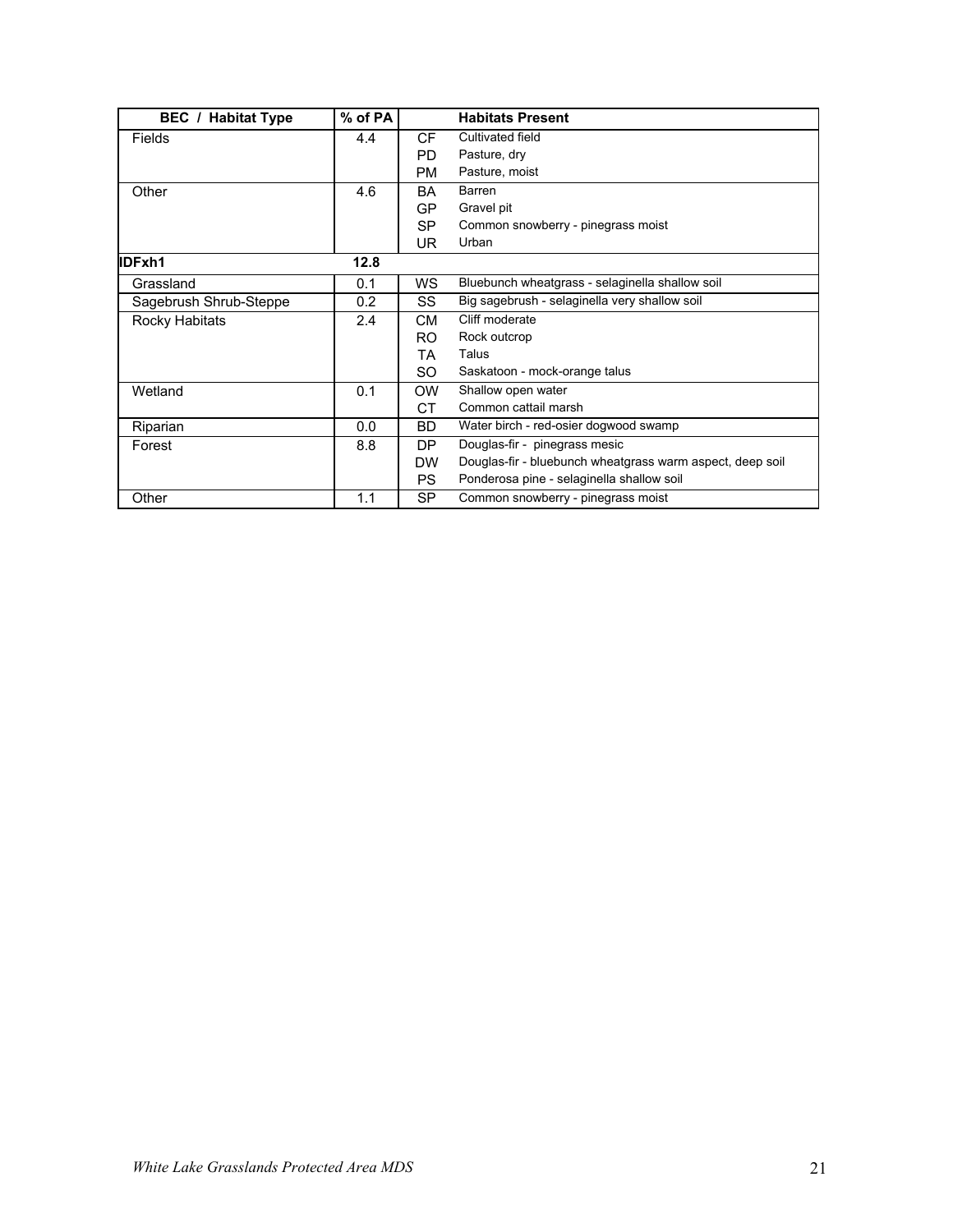| <b>BEC</b> / Habitat Type | $%$ of PA |           | <b>Habitats Present</b>                                   |
|---------------------------|-----------|-----------|-----------------------------------------------------------|
| <b>Fields</b>             | 4.4       | <b>CF</b> | Cultivated field                                          |
|                           |           | PD.       | Pasture, dry                                              |
|                           |           | PM        | Pasture, moist                                            |
| Other                     | 4.6       | BA        | Barren                                                    |
|                           |           | GP.       | Gravel pit                                                |
|                           |           | <b>SP</b> | Common snowberry - pinegrass moist                        |
|                           |           | UR.       | Urban                                                     |
| IDFxh1                    | 12.8      |           |                                                           |
| Grassland                 | 0.1       | WS.       | Bluebunch wheatgrass - selaginella shallow soil           |
| Sagebrush Shrub-Steppe    | 0.2       | SS        | Big sagebrush - selaginella very shallow soil             |
| Rocky Habitats            | 2.4       | CМ        | Cliff moderate                                            |
|                           |           | RO.       | Rock outcrop                                              |
|                           |           | ТA        | Talus                                                     |
|                           |           | SO.       | Saskatoon - mock-orange talus                             |
| Wetland                   | 0.1       | <b>OW</b> | Shallow open water                                        |
|                           |           | СT        | Common cattail marsh                                      |
| Riparian                  | 0.0       | <b>BD</b> | Water birch - red-osier dogwood swamp                     |
| Forest                    | 8.8       | DP        | Douglas-fir - pinegrass mesic                             |
|                           |           | <b>DW</b> | Douglas-fir - bluebunch wheatgrass warm aspect, deep soil |
|                           |           | <b>PS</b> | Ponderosa pine - selaginella shallow soil                 |
| Other                     | 1.1       | <b>SP</b> | Common snowberry - pinegrass moist                        |